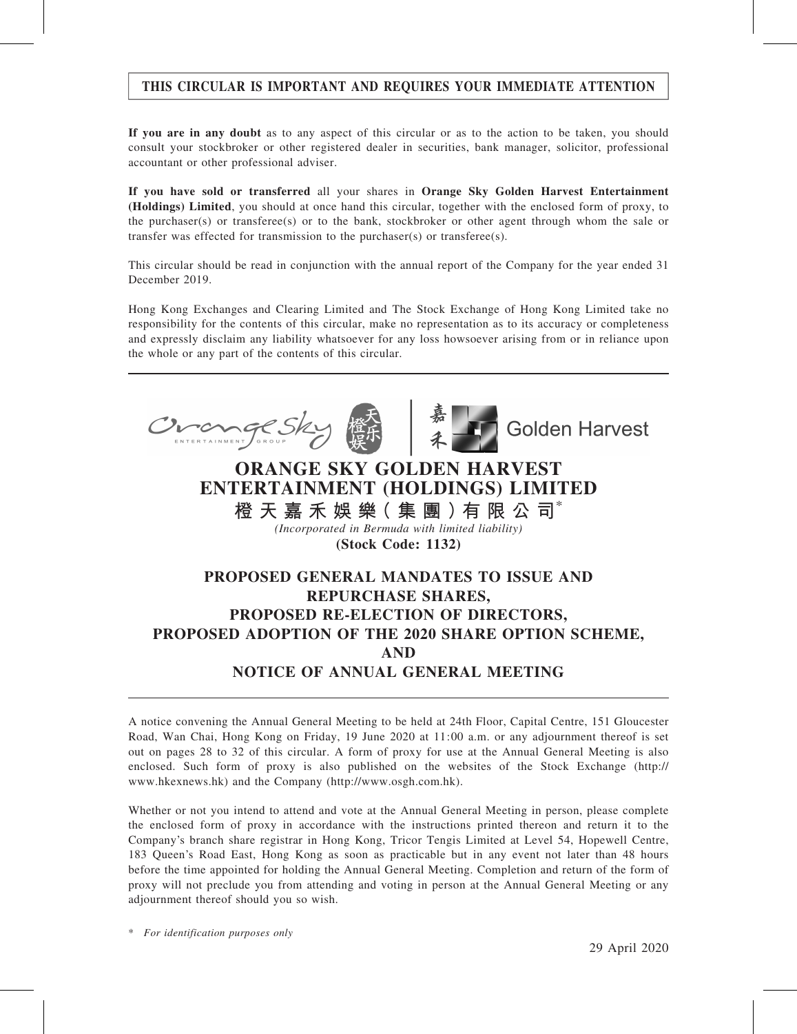# THIS CIRCULAR IS IMPORTANT AND REQUIRES YOUR IMMEDIATE ATTENTION

If you are in any doubt as to any aspect of this circular or as to the action to be taken, you should consult your stockbroker or other registered dealer in securities, bank manager, solicitor, professional accountant or other professional adviser.

If you have sold or transferred all your shares in Orange Sky Golden Harvest Entertainment (Holdings) Limited, you should at once hand this circular, together with the enclosed form of proxy, to the purchaser(s) or transferee(s) or to the bank, stockbroker or other agent through whom the sale or transfer was effected for transmission to the purchaser(s) or transferee(s).

This circular should be read in conjunction with the annual report of the Company for the year ended 31 December 2019.

Hong Kong Exchanges and Clearing Limited and The Stock Exchange of Hong Kong Limited take no responsibility for the contents of this circular, make no representation as to its accuracy or completeness and expressly disclaim any liability whatsoever for any loss howsoever arising from or in reliance upon the whole or any part of the contents of this circular.



A notice convening the Annual General Meeting to be held at 24th Floor, Capital Centre, 151 Gloucester Road, Wan Chai, Hong Kong on Friday, 19 June 2020 at 11:00 a.m. or any adjournment thereof is set out on pages 28 to 32 of this circular. A form of proxy for use at the Annual General Meeting is also enclosed. Such form of proxy is also published on the websites of the Stock Exchange (http:// www.hkexnews.hk) and the Company (http://www.osgh.com.hk).

Whether or not you intend to attend and vote at the Annual General Meeting in person, please complete the enclosed form of proxy in accordance with the instructions printed thereon and return it to the Company's branch share registrar in Hong Kong, Tricor Tengis Limited at Level 54, Hopewell Centre, 183 Queen's Road East, Hong Kong as soon as practicable but in any event not later than 48 hours before the time appointed for holding the Annual General Meeting. Completion and return of the form of proxy will not preclude you from attending and voting in person at the Annual General Meeting or any adjournment thereof should you so wish.

\* For identification purposes only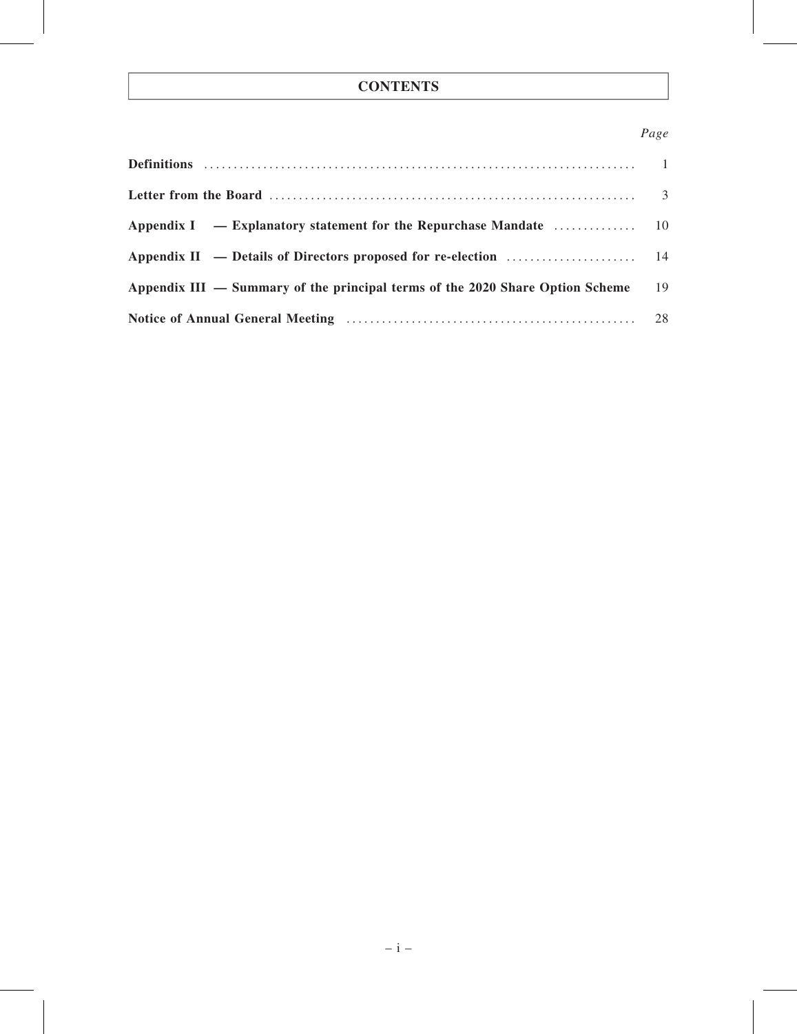# **CONTENTS**

# Page

| Appendix II — Details of Directors proposed for re-election $\dots\dots\dots\dots\dots\dots\dots\dots\dots$ |    |
|-------------------------------------------------------------------------------------------------------------|----|
| Appendix III — Summary of the principal terms of the 2020 Share Option Scheme                               | 19 |
|                                                                                                             |    |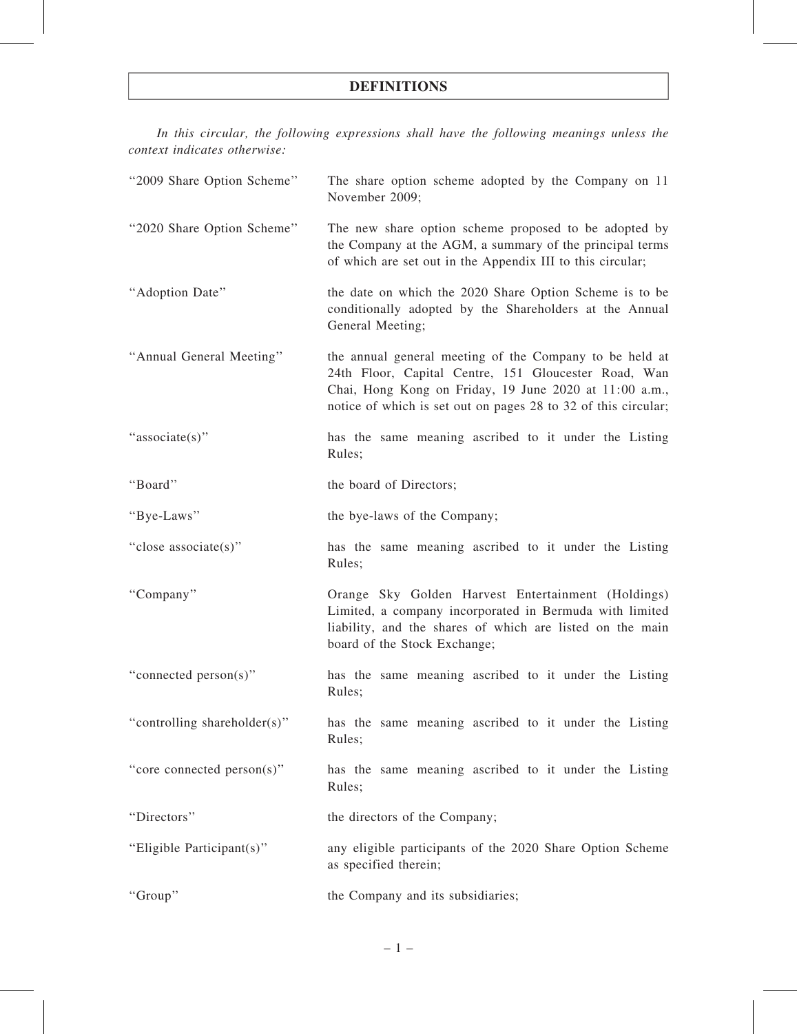# DEFINITIONS

In this circular, the following expressions shall have the following meanings unless the context indicates otherwise:

| "2009 Share Option Scheme"   | The share option scheme adopted by the Company on 11<br>November 2009;                                                                                                                                                                      |  |  |
|------------------------------|---------------------------------------------------------------------------------------------------------------------------------------------------------------------------------------------------------------------------------------------|--|--|
| "2020 Share Option Scheme"   | The new share option scheme proposed to be adopted by<br>the Company at the AGM, a summary of the principal terms<br>of which are set out in the Appendix III to this circular;                                                             |  |  |
| "Adoption Date"              | the date on which the 2020 Share Option Scheme is to be<br>conditionally adopted by the Shareholders at the Annual<br>General Meeting;                                                                                                      |  |  |
| "Annual General Meeting"     | the annual general meeting of the Company to be held at<br>24th Floor, Capital Centre, 151 Gloucester Road, Wan<br>Chai, Hong Kong on Friday, 19 June 2020 at 11:00 a.m.,<br>notice of which is set out on pages 28 to 32 of this circular; |  |  |
| "associate(s)"               | has the same meaning ascribed to it under the Listing<br>Rules;                                                                                                                                                                             |  |  |
| "Board"                      | the board of Directors;                                                                                                                                                                                                                     |  |  |
| "Bye-Laws"                   | the bye-laws of the Company;                                                                                                                                                                                                                |  |  |
| "close associate(s)"         | has the same meaning ascribed to it under the Listing<br>Rules;                                                                                                                                                                             |  |  |
| "Company"                    | Orange Sky Golden Harvest Entertainment (Holdings)<br>Limited, a company incorporated in Bermuda with limited<br>liability, and the shares of which are listed on the main<br>board of the Stock Exchange;                                  |  |  |
| "connected person(s)"        | has the same meaning ascribed to it under the Listing<br>Rules;                                                                                                                                                                             |  |  |
| "controlling shareholder(s)" | has the same meaning ascribed to it under the Listing<br>Rules;                                                                                                                                                                             |  |  |
| "core connected person(s)"   | has the same meaning ascribed to it under the Listing<br>Rules;                                                                                                                                                                             |  |  |
| "Directors"                  | the directors of the Company;                                                                                                                                                                                                               |  |  |
| "Eligible Participant(s)"    | any eligible participants of the 2020 Share Option Scheme<br>as specified therein;                                                                                                                                                          |  |  |
| "Group"                      | the Company and its subsidiaries;                                                                                                                                                                                                           |  |  |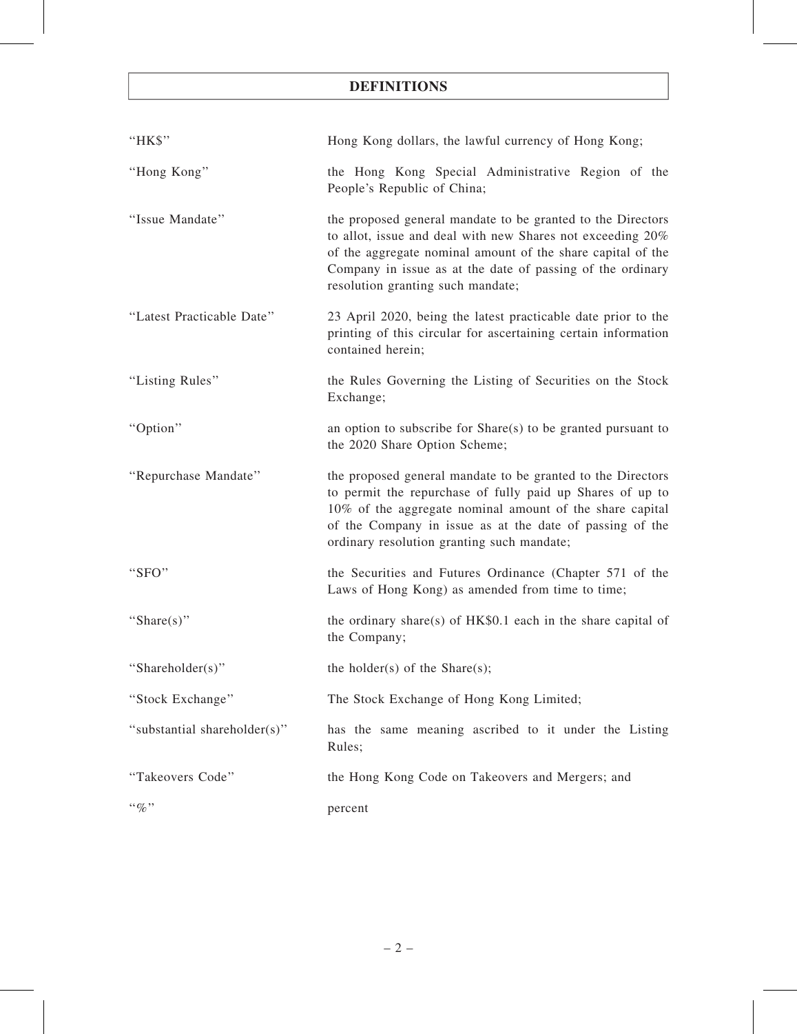# DEFINITIONS

| "HK\$"                       | Hong Kong dollars, the lawful currency of Hong Kong;                                                                                                                                                                                                                                           |  |  |
|------------------------------|------------------------------------------------------------------------------------------------------------------------------------------------------------------------------------------------------------------------------------------------------------------------------------------------|--|--|
| "Hong Kong"                  | the Hong Kong Special Administrative Region of the<br>People's Republic of China;                                                                                                                                                                                                              |  |  |
| "Issue Mandate"              | the proposed general mandate to be granted to the Directors<br>to allot, issue and deal with new Shares not exceeding 20%<br>of the aggregate nominal amount of the share capital of the<br>Company in issue as at the date of passing of the ordinary<br>resolution granting such mandate;    |  |  |
| "Latest Practicable Date"    | 23 April 2020, being the latest practicable date prior to the<br>printing of this circular for ascertaining certain information<br>contained herein;                                                                                                                                           |  |  |
| "Listing Rules"              | the Rules Governing the Listing of Securities on the Stock<br>Exchange;                                                                                                                                                                                                                        |  |  |
| "Option"                     | an option to subscribe for Share(s) to be granted pursuant to<br>the 2020 Share Option Scheme;                                                                                                                                                                                                 |  |  |
| "Repurchase Mandate"         | the proposed general mandate to be granted to the Directors<br>to permit the repurchase of fully paid up Shares of up to<br>10% of the aggregate nominal amount of the share capital<br>of the Company in issue as at the date of passing of the<br>ordinary resolution granting such mandate; |  |  |
| "SFO"                        | the Securities and Futures Ordinance (Chapter 571 of the<br>Laws of Hong Kong) as amended from time to time;                                                                                                                                                                                   |  |  |
| "Share(s)"                   | the ordinary share(s) of $HK$0.1$ each in the share capital of<br>the Company;                                                                                                                                                                                                                 |  |  |
| "Shareholder(s)"             | the holder(s) of the Share(s);                                                                                                                                                                                                                                                                 |  |  |
| "Stock Exchange"             | The Stock Exchange of Hong Kong Limited;                                                                                                                                                                                                                                                       |  |  |
| "substantial shareholder(s)" | has the same meaning ascribed to it under the Listing<br>Rules;                                                                                                                                                                                                                                |  |  |
| "Takeovers Code"             | the Hong Kong Code on Takeovers and Mergers; and                                                                                                                                                                                                                                               |  |  |
| $``\%"$                      | percent                                                                                                                                                                                                                                                                                        |  |  |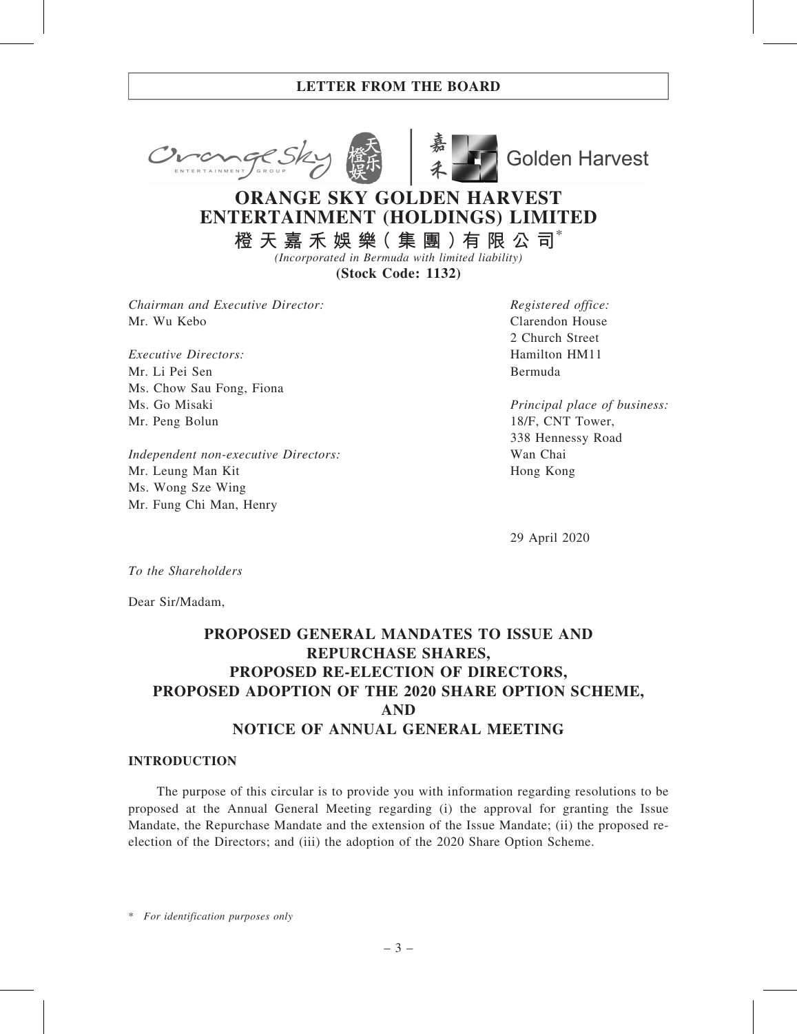



**Golden Harvest** 

# ORANGE SKY GOLDEN HARVEST ENTERTAINMENT (HOLDINGS) LIMITED

橙 天 嘉 禾 娛 樂( 集 團 )有 限 公 司\* (Incorporated in Bermuda with limited liability)

(Stock Code: 1132)

Chairman and Executive Director: Mr. Wu Kebo

Executive Directors: Mr. Li Pei Sen Ms. Chow Sau Fong, Fiona Ms. Go Misaki Mr. Peng Bolun

Independent non-executive Directors: Mr. Leung Man Kit Ms. Wong Sze Wing Mr. Fung Chi Man, Henry

Registered office: Clarendon House 2 Church Street Hamilton HM11 Bermuda

Principal place of business: 18/F, CNT Tower, 338 Hennessy Road Wan Chai Hong Kong

29 April 2020

To the Shareholders

Dear Sir/Madam,

# PROPOSED GENERAL MANDATES TO ISSUE AND REPURCHASE SHARES, PROPOSED RE-ELECTION OF DIRECTORS, PROPOSED ADOPTION OF THE 2020 SHARE OPTION SCHEME, AND NOTICE OF ANNUAL GENERAL MEETING

#### INTRODUCTION

The purpose of this circular is to provide you with information regarding resolutions to be proposed at the Annual General Meeting regarding (i) the approval for granting the Issue Mandate, the Repurchase Mandate and the extension of the Issue Mandate; (ii) the proposed reelection of the Directors; and (iii) the adoption of the 2020 Share Option Scheme.

\* For identification purposes only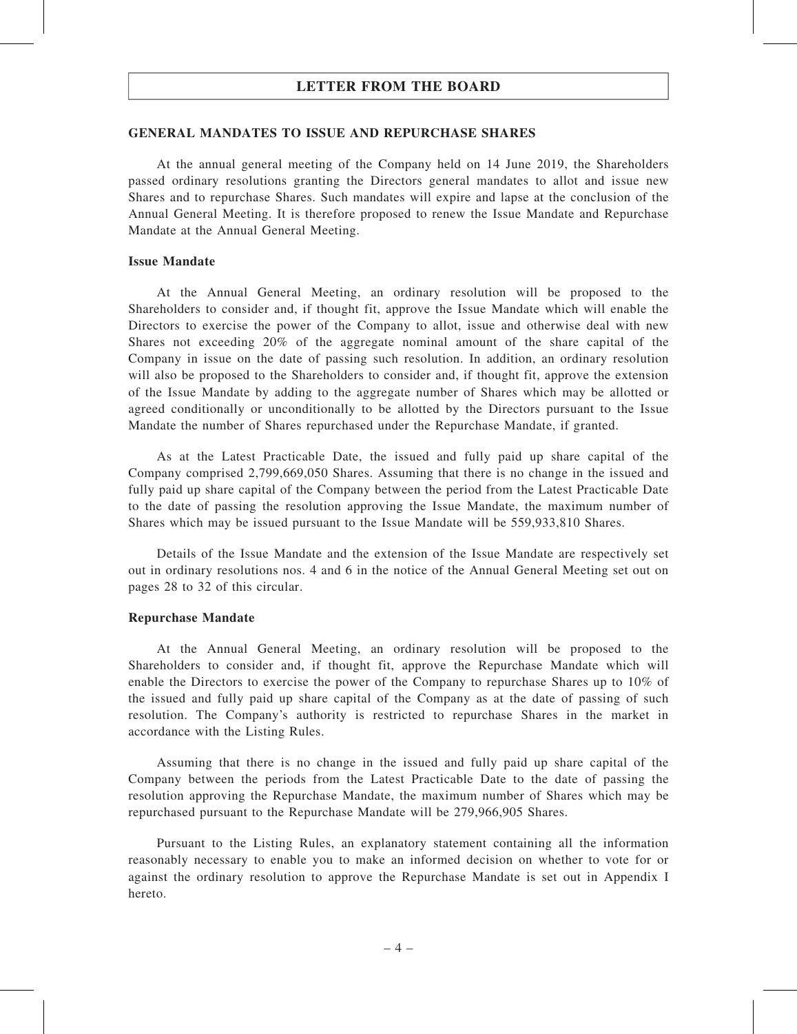#### GENERAL MANDATES TO ISSUE AND REPURCHASE SHARES

At the annual general meeting of the Company held on 14 June 2019, the Shareholders passed ordinary resolutions granting the Directors general mandates to allot and issue new Shares and to repurchase Shares. Such mandates will expire and lapse at the conclusion of the Annual General Meeting. It is therefore proposed to renew the Issue Mandate and Repurchase Mandate at the Annual General Meeting.

#### Issue Mandate

At the Annual General Meeting, an ordinary resolution will be proposed to the Shareholders to consider and, if thought fit, approve the Issue Mandate which will enable the Directors to exercise the power of the Company to allot, issue and otherwise deal with new Shares not exceeding 20% of the aggregate nominal amount of the share capital of the Company in issue on the date of passing such resolution. In addition, an ordinary resolution will also be proposed to the Shareholders to consider and, if thought fit, approve the extension of the Issue Mandate by adding to the aggregate number of Shares which may be allotted or agreed conditionally or unconditionally to be allotted by the Directors pursuant to the Issue Mandate the number of Shares repurchased under the Repurchase Mandate, if granted.

As at the Latest Practicable Date, the issued and fully paid up share capital of the Company comprised 2,799,669,050 Shares. Assuming that there is no change in the issued and fully paid up share capital of the Company between the period from the Latest Practicable Date to the date of passing the resolution approving the Issue Mandate, the maximum number of Shares which may be issued pursuant to the Issue Mandate will be 559,933,810 Shares.

Details of the Issue Mandate and the extension of the Issue Mandate are respectively set out in ordinary resolutions nos. 4 and 6 in the notice of the Annual General Meeting set out on pages 28 to 32 of this circular.

#### Repurchase Mandate

At the Annual General Meeting, an ordinary resolution will be proposed to the Shareholders to consider and, if thought fit, approve the Repurchase Mandate which will enable the Directors to exercise the power of the Company to repurchase Shares up to 10% of the issued and fully paid up share capital of the Company as at the date of passing of such resolution. The Company's authority is restricted to repurchase Shares in the market in accordance with the Listing Rules.

Assuming that there is no change in the issued and fully paid up share capital of the Company between the periods from the Latest Practicable Date to the date of passing the resolution approving the Repurchase Mandate, the maximum number of Shares which may be repurchased pursuant to the Repurchase Mandate will be 279,966,905 Shares.

Pursuant to the Listing Rules, an explanatory statement containing all the information reasonably necessary to enable you to make an informed decision on whether to vote for or against the ordinary resolution to approve the Repurchase Mandate is set out in Appendix I hereto.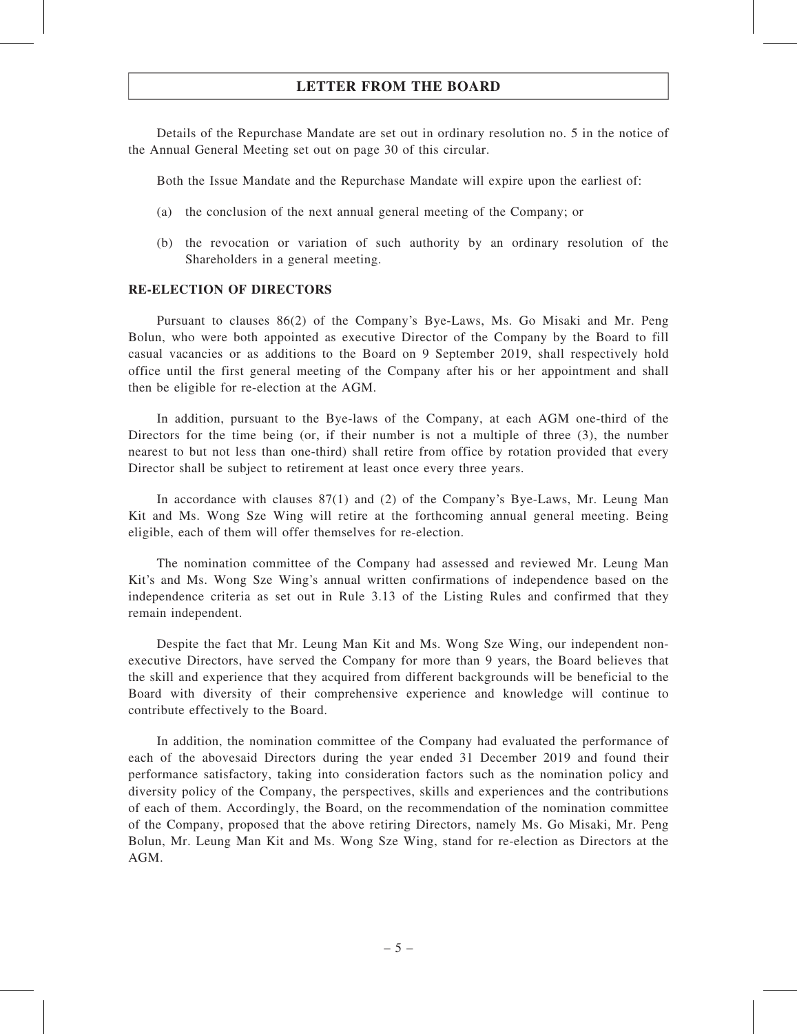Details of the Repurchase Mandate are set out in ordinary resolution no. 5 in the notice of the Annual General Meeting set out on page 30 of this circular.

Both the Issue Mandate and the Repurchase Mandate will expire upon the earliest of:

- (a) the conclusion of the next annual general meeting of the Company; or
- (b) the revocation or variation of such authority by an ordinary resolution of the Shareholders in a general meeting.

#### RE-ELECTION OF DIRECTORS

Pursuant to clauses 86(2) of the Company's Bye-Laws, Ms. Go Misaki and Mr. Peng Bolun, who were both appointed as executive Director of the Company by the Board to fill casual vacancies or as additions to the Board on 9 September 2019, shall respectively hold office until the first general meeting of the Company after his or her appointment and shall then be eligible for re-election at the AGM.

In addition, pursuant to the Bye-laws of the Company, at each AGM one-third of the Directors for the time being (or, if their number is not a multiple of three (3), the number nearest to but not less than one-third) shall retire from office by rotation provided that every Director shall be subject to retirement at least once every three years.

In accordance with clauses 87(1) and (2) of the Company's Bye-Laws, Mr. Leung Man Kit and Ms. Wong Sze Wing will retire at the forthcoming annual general meeting. Being eligible, each of them will offer themselves for re-election.

The nomination committee of the Company had assessed and reviewed Mr. Leung Man Kit's and Ms. Wong Sze Wing's annual written confirmations of independence based on the independence criteria as set out in Rule 3.13 of the Listing Rules and confirmed that they remain independent.

Despite the fact that Mr. Leung Man Kit and Ms. Wong Sze Wing, our independent nonexecutive Directors, have served the Company for more than 9 years, the Board believes that the skill and experience that they acquired from different backgrounds will be beneficial to the Board with diversity of their comprehensive experience and knowledge will continue to contribute effectively to the Board.

In addition, the nomination committee of the Company had evaluated the performance of each of the abovesaid Directors during the year ended 31 December 2019 and found their performance satisfactory, taking into consideration factors such as the nomination policy and diversity policy of the Company, the perspectives, skills and experiences and the contributions of each of them. Accordingly, the Board, on the recommendation of the nomination committee of the Company, proposed that the above retiring Directors, namely Ms. Go Misaki, Mr. Peng Bolun, Mr. Leung Man Kit and Ms. Wong Sze Wing, stand for re-election as Directors at the AGM.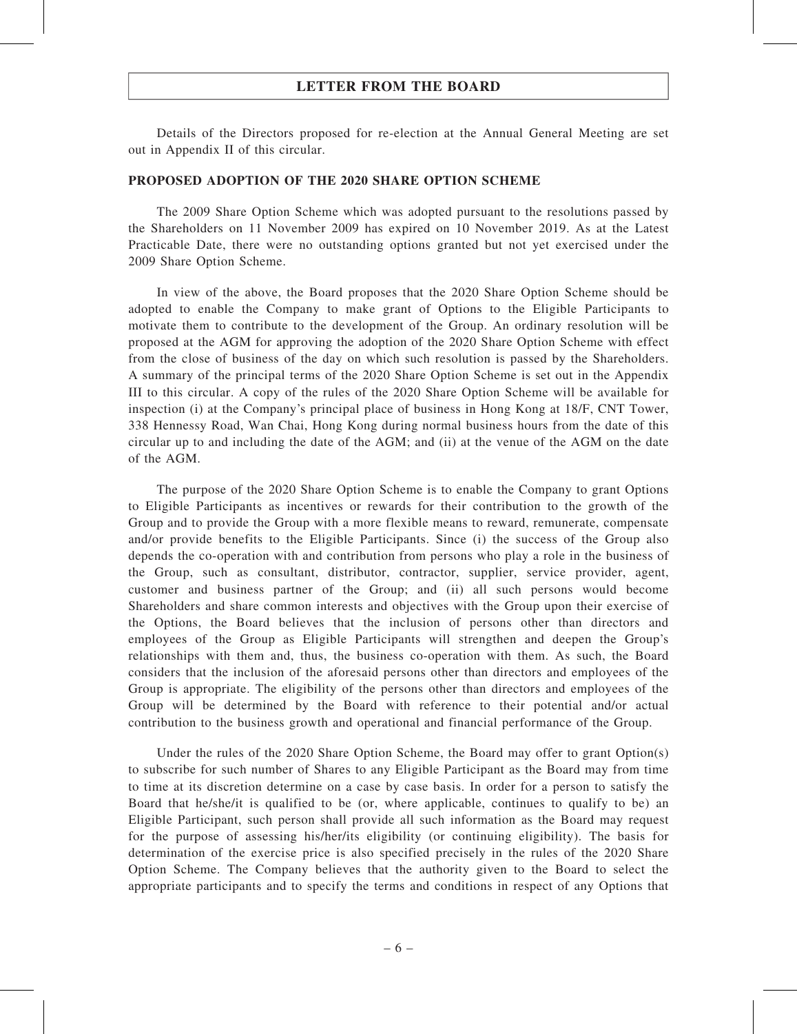Details of the Directors proposed for re-election at the Annual General Meeting are set out in Appendix II of this circular.

#### PROPOSED ADOPTION OF THE 2020 SHARE OPTION SCHEME

The 2009 Share Option Scheme which was adopted pursuant to the resolutions passed by the Shareholders on 11 November 2009 has expired on 10 November 2019. As at the Latest Practicable Date, there were no outstanding options granted but not yet exercised under the 2009 Share Option Scheme.

In view of the above, the Board proposes that the 2020 Share Option Scheme should be adopted to enable the Company to make grant of Options to the Eligible Participants to motivate them to contribute to the development of the Group. An ordinary resolution will be proposed at the AGM for approving the adoption of the 2020 Share Option Scheme with effect from the close of business of the day on which such resolution is passed by the Shareholders. A summary of the principal terms of the 2020 Share Option Scheme is set out in the Appendix III to this circular. A copy of the rules of the 2020 Share Option Scheme will be available for inspection (i) at the Company's principal place of business in Hong Kong at 18/F, CNT Tower, 338 Hennessy Road, Wan Chai, Hong Kong during normal business hours from the date of this circular up to and including the date of the AGM; and (ii) at the venue of the AGM on the date of the AGM.

The purpose of the 2020 Share Option Scheme is to enable the Company to grant Options to Eligible Participants as incentives or rewards for their contribution to the growth of the Group and to provide the Group with a more flexible means to reward, remunerate, compensate and/or provide benefits to the Eligible Participants. Since (i) the success of the Group also depends the co-operation with and contribution from persons who play a role in the business of the Group, such as consultant, distributor, contractor, supplier, service provider, agent, customer and business partner of the Group; and (ii) all such persons would become Shareholders and share common interests and objectives with the Group upon their exercise of the Options, the Board believes that the inclusion of persons other than directors and employees of the Group as Eligible Participants will strengthen and deepen the Group's relationships with them and, thus, the business co-operation with them. As such, the Board considers that the inclusion of the aforesaid persons other than directors and employees of the Group is appropriate. The eligibility of the persons other than directors and employees of the Group will be determined by the Board with reference to their potential and/or actual contribution to the business growth and operational and financial performance of the Group.

Under the rules of the 2020 Share Option Scheme, the Board may offer to grant Option(s) to subscribe for such number of Shares to any Eligible Participant as the Board may from time to time at its discretion determine on a case by case basis. In order for a person to satisfy the Board that he/she/it is qualified to be (or, where applicable, continues to qualify to be) an Eligible Participant, such person shall provide all such information as the Board may request for the purpose of assessing his/her/its eligibility (or continuing eligibility). The basis for determination of the exercise price is also specified precisely in the rules of the 2020 Share Option Scheme. The Company believes that the authority given to the Board to select the appropriate participants and to specify the terms and conditions in respect of any Options that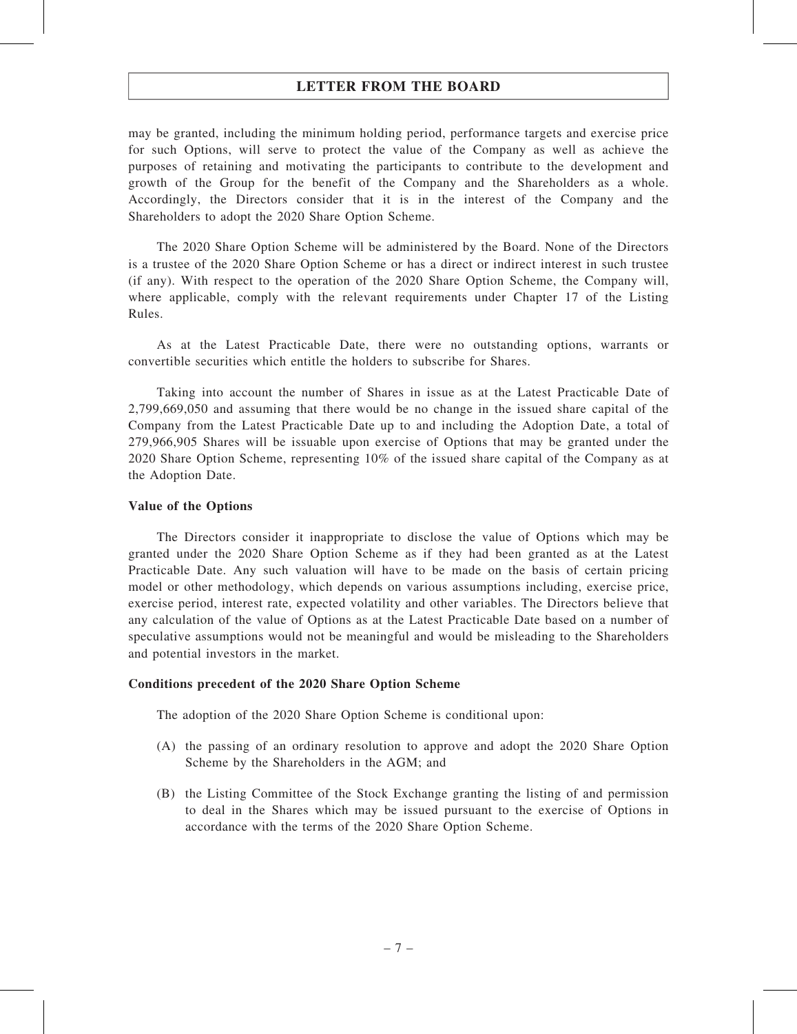may be granted, including the minimum holding period, performance targets and exercise price for such Options, will serve to protect the value of the Company as well as achieve the purposes of retaining and motivating the participants to contribute to the development and growth of the Group for the benefit of the Company and the Shareholders as a whole. Accordingly, the Directors consider that it is in the interest of the Company and the Shareholders to adopt the 2020 Share Option Scheme.

The 2020 Share Option Scheme will be administered by the Board. None of the Directors is a trustee of the 2020 Share Option Scheme or has a direct or indirect interest in such trustee (if any). With respect to the operation of the 2020 Share Option Scheme, the Company will, where applicable, comply with the relevant requirements under Chapter 17 of the Listing Rules.

As at the Latest Practicable Date, there were no outstanding options, warrants or convertible securities which entitle the holders to subscribe for Shares.

Taking into account the number of Shares in issue as at the Latest Practicable Date of 2,799,669,050 and assuming that there would be no change in the issued share capital of the Company from the Latest Practicable Date up to and including the Adoption Date, a total of 279,966,905 Shares will be issuable upon exercise of Options that may be granted under the 2020 Share Option Scheme, representing 10% of the issued share capital of the Company as at the Adoption Date.

#### Value of the Options

The Directors consider it inappropriate to disclose the value of Options which may be granted under the 2020 Share Option Scheme as if they had been granted as at the Latest Practicable Date. Any such valuation will have to be made on the basis of certain pricing model or other methodology, which depends on various assumptions including, exercise price, exercise period, interest rate, expected volatility and other variables. The Directors believe that any calculation of the value of Options as at the Latest Practicable Date based on a number of speculative assumptions would not be meaningful and would be misleading to the Shareholders and potential investors in the market.

#### Conditions precedent of the 2020 Share Option Scheme

The adoption of the 2020 Share Option Scheme is conditional upon:

- (A) the passing of an ordinary resolution to approve and adopt the 2020 Share Option Scheme by the Shareholders in the AGM; and
- (B) the Listing Committee of the Stock Exchange granting the listing of and permission to deal in the Shares which may be issued pursuant to the exercise of Options in accordance with the terms of the 2020 Share Option Scheme.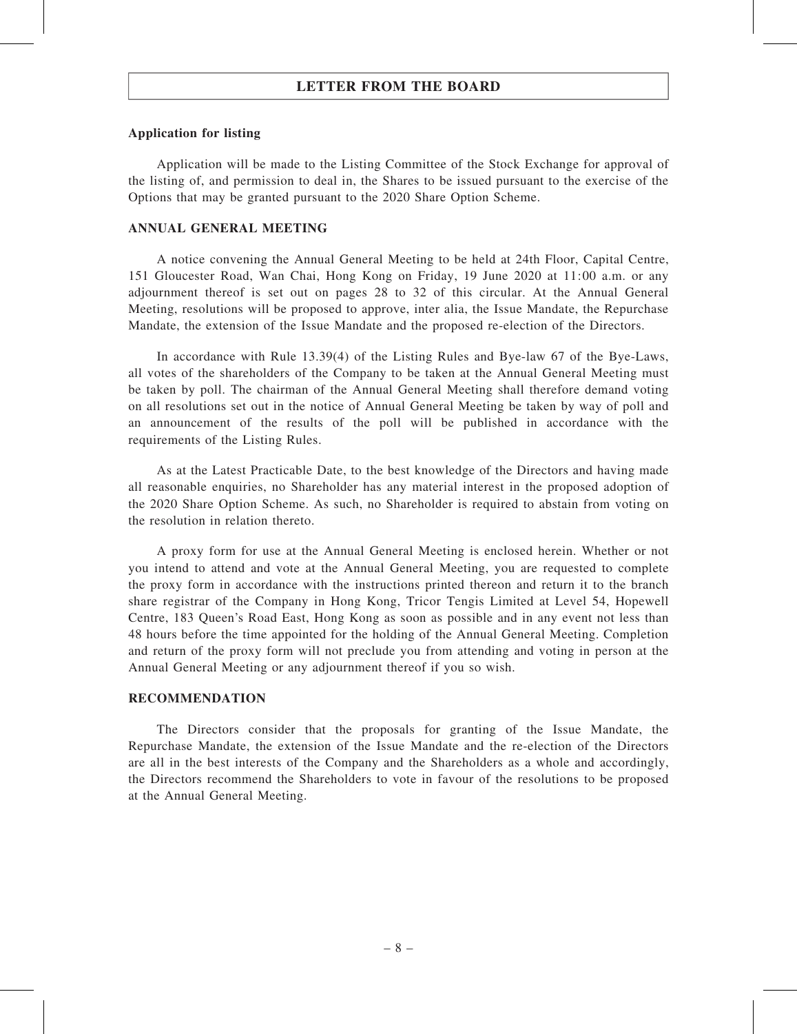#### Application for listing

Application will be made to the Listing Committee of the Stock Exchange for approval of the listing of, and permission to deal in, the Shares to be issued pursuant to the exercise of the Options that may be granted pursuant to the 2020 Share Option Scheme.

#### ANNUAL GENERAL MEETING

A notice convening the Annual General Meeting to be held at 24th Floor, Capital Centre, 151 Gloucester Road, Wan Chai, Hong Kong on Friday, 19 June 2020 at 11:00 a.m. or any adjournment thereof is set out on pages 28 to 32 of this circular. At the Annual General Meeting, resolutions will be proposed to approve, inter alia, the Issue Mandate, the Repurchase Mandate, the extension of the Issue Mandate and the proposed re-election of the Directors.

In accordance with Rule 13.39(4) of the Listing Rules and Bye-law 67 of the Bye-Laws, all votes of the shareholders of the Company to be taken at the Annual General Meeting must be taken by poll. The chairman of the Annual General Meeting shall therefore demand voting on all resolutions set out in the notice of Annual General Meeting be taken by way of poll and an announcement of the results of the poll will be published in accordance with the requirements of the Listing Rules.

As at the Latest Practicable Date, to the best knowledge of the Directors and having made all reasonable enquiries, no Shareholder has any material interest in the proposed adoption of the 2020 Share Option Scheme. As such, no Shareholder is required to abstain from voting on the resolution in relation thereto.

A proxy form for use at the Annual General Meeting is enclosed herein. Whether or not you intend to attend and vote at the Annual General Meeting, you are requested to complete the proxy form in accordance with the instructions printed thereon and return it to the branch share registrar of the Company in Hong Kong, Tricor Tengis Limited at Level 54, Hopewell Centre, 183 Queen's Road East, Hong Kong as soon as possible and in any event not less than 48 hours before the time appointed for the holding of the Annual General Meeting. Completion and return of the proxy form will not preclude you from attending and voting in person at the Annual General Meeting or any adjournment thereof if you so wish.

#### RECOMMENDATION

The Directors consider that the proposals for granting of the Issue Mandate, the Repurchase Mandate, the extension of the Issue Mandate and the re-election of the Directors are all in the best interests of the Company and the Shareholders as a whole and accordingly, the Directors recommend the Shareholders to vote in favour of the resolutions to be proposed at the Annual General Meeting.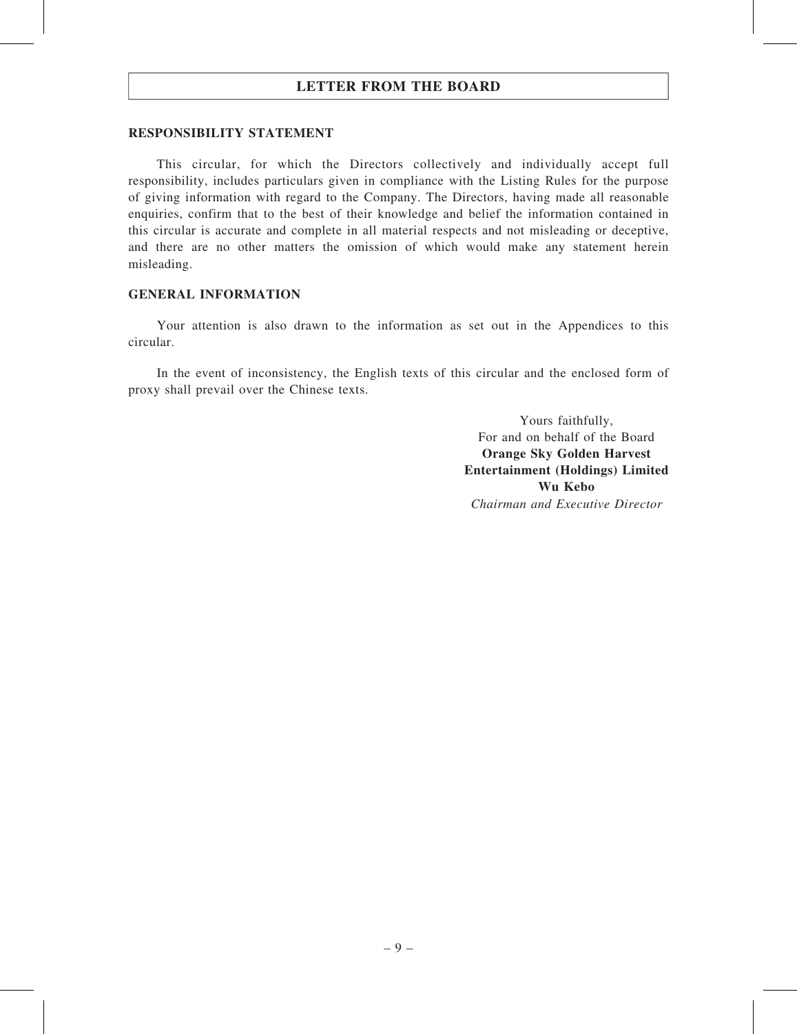#### RESPONSIBILITY STATEMENT

This circular, for which the Directors collectively and individually accept full responsibility, includes particulars given in compliance with the Listing Rules for the purpose of giving information with regard to the Company. The Directors, having made all reasonable enquiries, confirm that to the best of their knowledge and belief the information contained in this circular is accurate and complete in all material respects and not misleading or deceptive, and there are no other matters the omission of which would make any statement herein misleading.

#### GENERAL INFORMATION

Your attention is also drawn to the information as set out in the Appendices to this circular.

In the event of inconsistency, the English texts of this circular and the enclosed form of proxy shall prevail over the Chinese texts.

> Yours faithfully, For and on behalf of the Board Orange Sky Golden Harvest Entertainment (Holdings) Limited Wu Kebo Chairman and Executive Director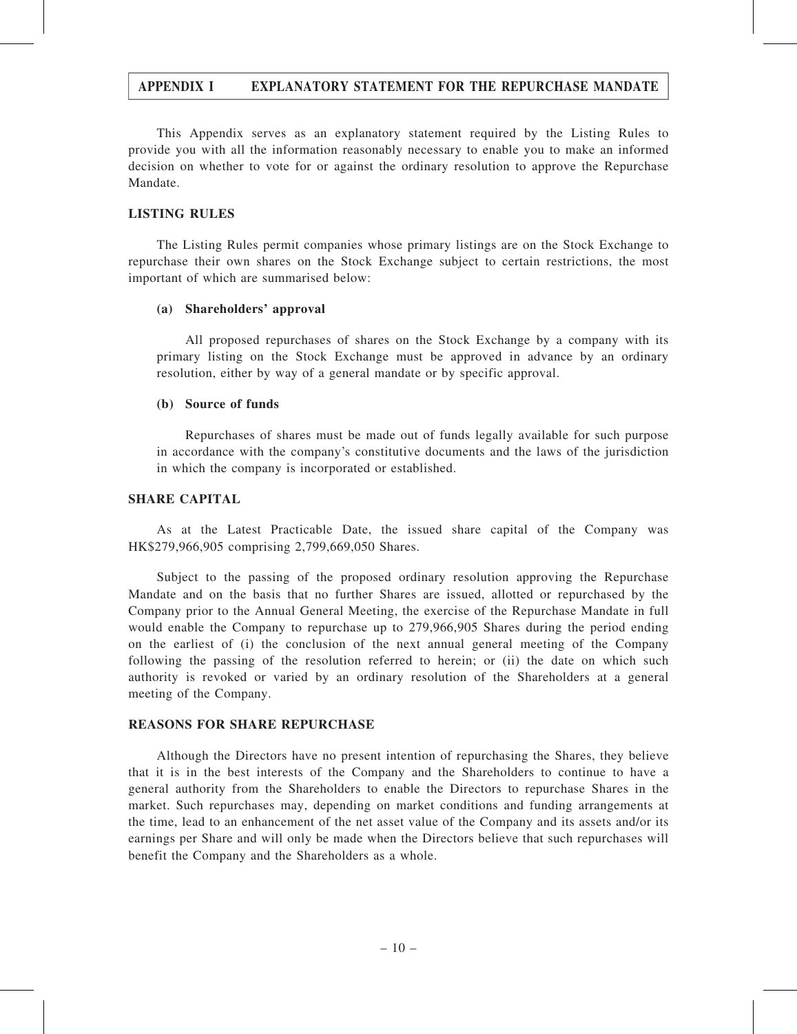This Appendix serves as an explanatory statement required by the Listing Rules to provide you with all the information reasonably necessary to enable you to make an informed decision on whether to vote for or against the ordinary resolution to approve the Repurchase Mandate.

#### LISTING RULES

The Listing Rules permit companies whose primary listings are on the Stock Exchange to repurchase their own shares on the Stock Exchange subject to certain restrictions, the most important of which are summarised below:

#### (a) Shareholders' approval

All proposed repurchases of shares on the Stock Exchange by a company with its primary listing on the Stock Exchange must be approved in advance by an ordinary resolution, either by way of a general mandate or by specific approval.

#### (b) Source of funds

Repurchases of shares must be made out of funds legally available for such purpose in accordance with the company's constitutive documents and the laws of the jurisdiction in which the company is incorporated or established.

#### SHARE CAPITAL

As at the Latest Practicable Date, the issued share capital of the Company was HK\$279,966,905 comprising 2,799,669,050 Shares.

Subject to the passing of the proposed ordinary resolution approving the Repurchase Mandate and on the basis that no further Shares are issued, allotted or repurchased by the Company prior to the Annual General Meeting, the exercise of the Repurchase Mandate in full would enable the Company to repurchase up to 279,966,905 Shares during the period ending on the earliest of (i) the conclusion of the next annual general meeting of the Company following the passing of the resolution referred to herein; or (ii) the date on which such authority is revoked or varied by an ordinary resolution of the Shareholders at a general meeting of the Company.

#### REASONS FOR SHARE REPURCHASE

Although the Directors have no present intention of repurchasing the Shares, they believe that it is in the best interests of the Company and the Shareholders to continue to have a general authority from the Shareholders to enable the Directors to repurchase Shares in the market. Such repurchases may, depending on market conditions and funding arrangements at the time, lead to an enhancement of the net asset value of the Company and its assets and/or its earnings per Share and will only be made when the Directors believe that such repurchases will benefit the Company and the Shareholders as a whole.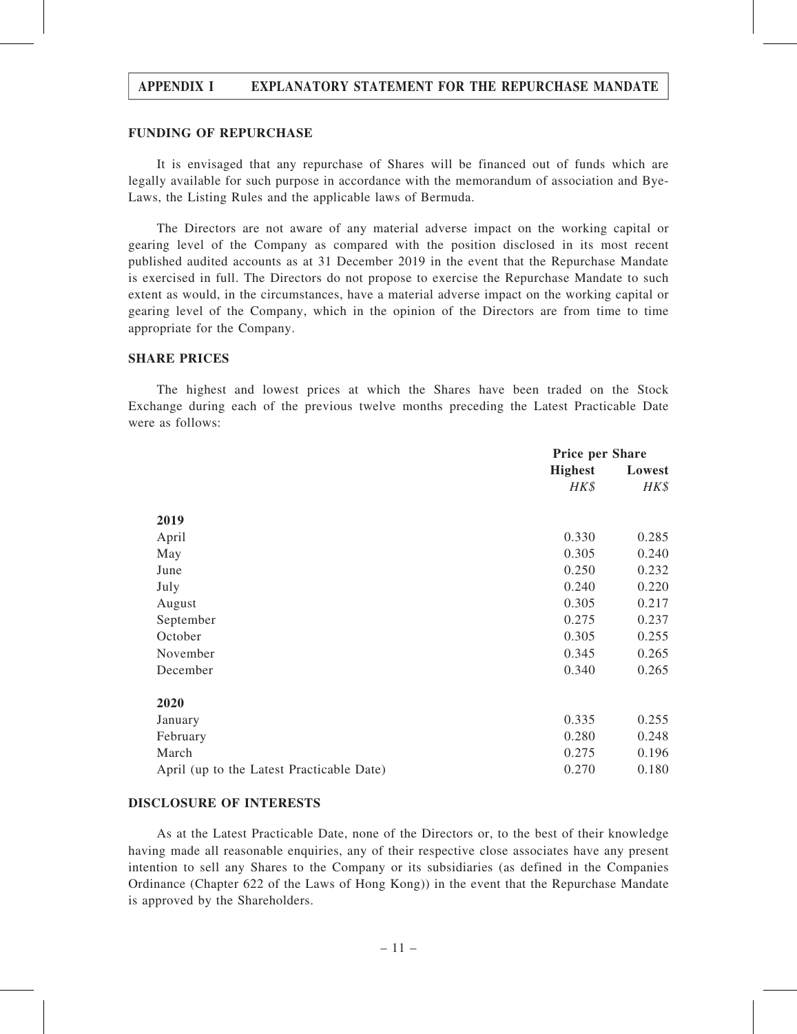#### FUNDING OF REPURCHASE

It is envisaged that any repurchase of Shares will be financed out of funds which are legally available for such purpose in accordance with the memorandum of association and Bye-Laws, the Listing Rules and the applicable laws of Bermuda.

The Directors are not aware of any material adverse impact on the working capital or gearing level of the Company as compared with the position disclosed in its most recent published audited accounts as at 31 December 2019 in the event that the Repurchase Mandate is exercised in full. The Directors do not propose to exercise the Repurchase Mandate to such extent as would, in the circumstances, have a material adverse impact on the working capital or gearing level of the Company, which in the opinion of the Directors are from time to time appropriate for the Company.

#### SHARE PRICES

The highest and lowest prices at which the Shares have been traded on the Stock Exchange during each of the previous twelve months preceding the Latest Practicable Date were as follows:

|                                           | <b>Price per Share</b> |        |
|-------------------------------------------|------------------------|--------|
|                                           | <b>Highest</b>         | Lowest |
|                                           | $H K$ \$               | HK\$   |
| 2019                                      |                        |        |
| April                                     | 0.330                  | 0.285  |
| May                                       | 0.305                  | 0.240  |
| June                                      | 0.250                  | 0.232  |
| July                                      | 0.240                  | 0.220  |
| August                                    | 0.305                  | 0.217  |
| September                                 | 0.275                  | 0.237  |
| October                                   | 0.305                  | 0.255  |
| November                                  | 0.345                  | 0.265  |
| December                                  | 0.340                  | 0.265  |
| 2020                                      |                        |        |
| January                                   | 0.335                  | 0.255  |
| February                                  | 0.280                  | 0.248  |
| March                                     | 0.275                  | 0.196  |
| April (up to the Latest Practicable Date) | 0.270                  | 0.180  |

#### DISCLOSURE OF INTERESTS

As at the Latest Practicable Date, none of the Directors or, to the best of their knowledge having made all reasonable enquiries, any of their respective close associates have any present intention to sell any Shares to the Company or its subsidiaries (as defined in the Companies Ordinance (Chapter 622 of the Laws of Hong Kong)) in the event that the Repurchase Mandate is approved by the Shareholders.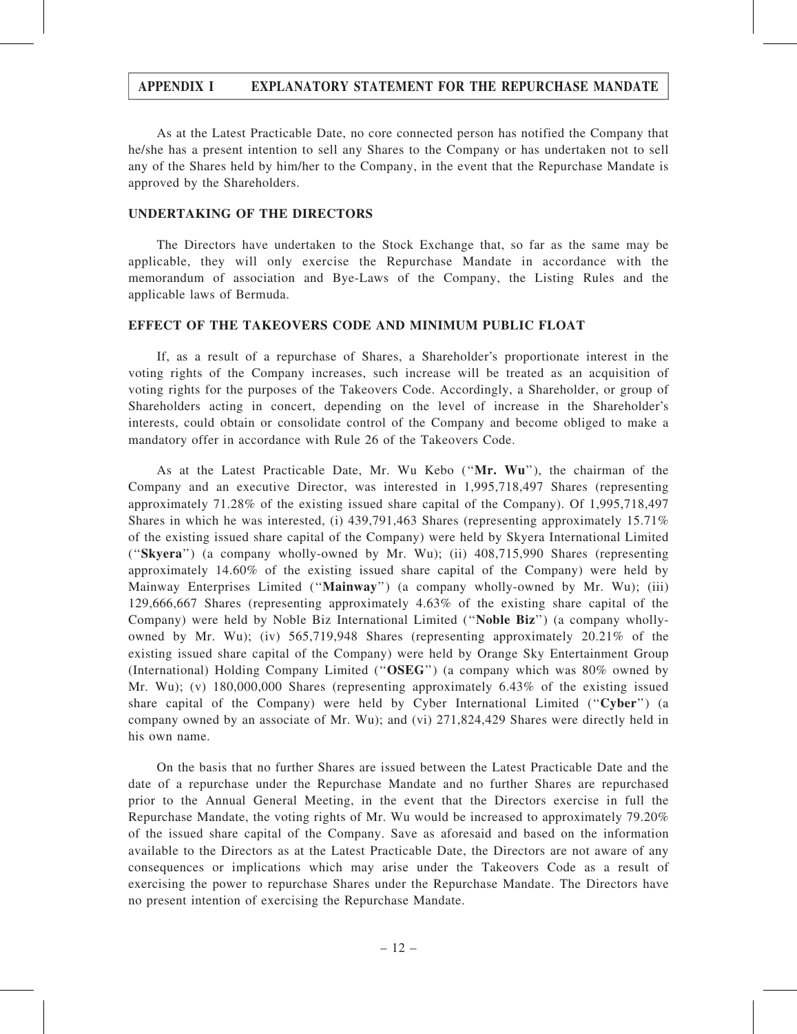As at the Latest Practicable Date, no core connected person has notified the Company that he/she has a present intention to sell any Shares to the Company or has undertaken not to sell any of the Shares held by him/her to the Company, in the event that the Repurchase Mandate is approved by the Shareholders.

#### UNDERTAKING OF THE DIRECTORS

The Directors have undertaken to the Stock Exchange that, so far as the same may be applicable, they will only exercise the Repurchase Mandate in accordance with the memorandum of association and Bye-Laws of the Company, the Listing Rules and the applicable laws of Bermuda.

#### EFFECT OF THE TAKEOVERS CODE AND MINIMUM PUBLIC FLOAT

If, as a result of a repurchase of Shares, a Shareholder's proportionate interest in the voting rights of the Company increases, such increase will be treated as an acquisition of voting rights for the purposes of the Takeovers Code. Accordingly, a Shareholder, or group of Shareholders acting in concert, depending on the level of increase in the Shareholder's interests, could obtain or consolidate control of the Company and become obliged to make a mandatory offer in accordance with Rule 26 of the Takeovers Code.

As at the Latest Practicable Date, Mr. Wu Kebo (''Mr. Wu''), the chairman of the Company and an executive Director, was interested in 1,995,718,497 Shares (representing approximately 71.28% of the existing issued share capital of the Company). Of 1,995,718,497 Shares in which he was interested, (i) 439,791,463 Shares (representing approximately 15.71% of the existing issued share capital of the Company) were held by Skyera International Limited (''Skyera'') (a company wholly-owned by Mr. Wu); (ii) 408,715,990 Shares (representing approximately 14.60% of the existing issued share capital of the Company) were held by Mainway Enterprises Limited (''Mainway'') (a company wholly-owned by Mr. Wu); (iii) 129,666,667 Shares (representing approximately 4.63% of the existing share capital of the Company) were held by Noble Biz International Limited (''Noble Biz'') (a company whollyowned by Mr. Wu); (iv) 565,719,948 Shares (representing approximately 20.21% of the existing issued share capital of the Company) were held by Orange Sky Entertainment Group (International) Holding Company Limited (''OSEG'') (a company which was 80% owned by Mr. Wu); (v) 180,000,000 Shares (representing approximately 6.43% of the existing issued share capital of the Company) were held by Cyber International Limited ("Cyber") (a company owned by an associate of Mr. Wu); and (vi) 271,824,429 Shares were directly held in his own name.

On the basis that no further Shares are issued between the Latest Practicable Date and the date of a repurchase under the Repurchase Mandate and no further Shares are repurchased prior to the Annual General Meeting, in the event that the Directors exercise in full the Repurchase Mandate, the voting rights of Mr. Wu would be increased to approximately 79.20% of the issued share capital of the Company. Save as aforesaid and based on the information available to the Directors as at the Latest Practicable Date, the Directors are not aware of any consequences or implications which may arise under the Takeovers Code as a result of exercising the power to repurchase Shares under the Repurchase Mandate. The Directors have no present intention of exercising the Repurchase Mandate.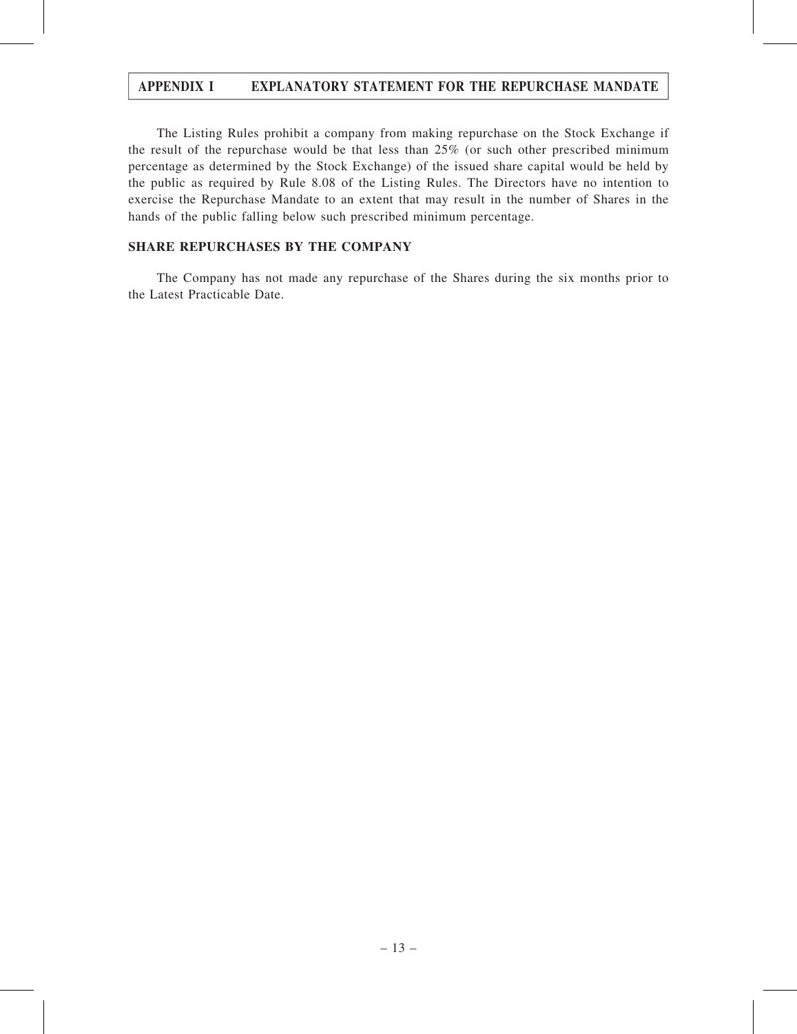The Listing Rules prohibit a company from making repurchase on the Stock Exchange if the result of the repurchase would be that less than 25% (or such other prescribed minimum percentage as determined by the Stock Exchange) of the issued share capital would be held by the public as required by Rule 8.08 of the Listing Rules. The Directors have no intention to exercise the Repurchase Mandate to an extent that may result in the number of Shares in the hands of the public falling below such prescribed minimum percentage.

#### SHARE REPURCHASES BY THE COMPANY

The Company has not made any repurchase of the Shares during the six months prior to the Latest Practicable Date.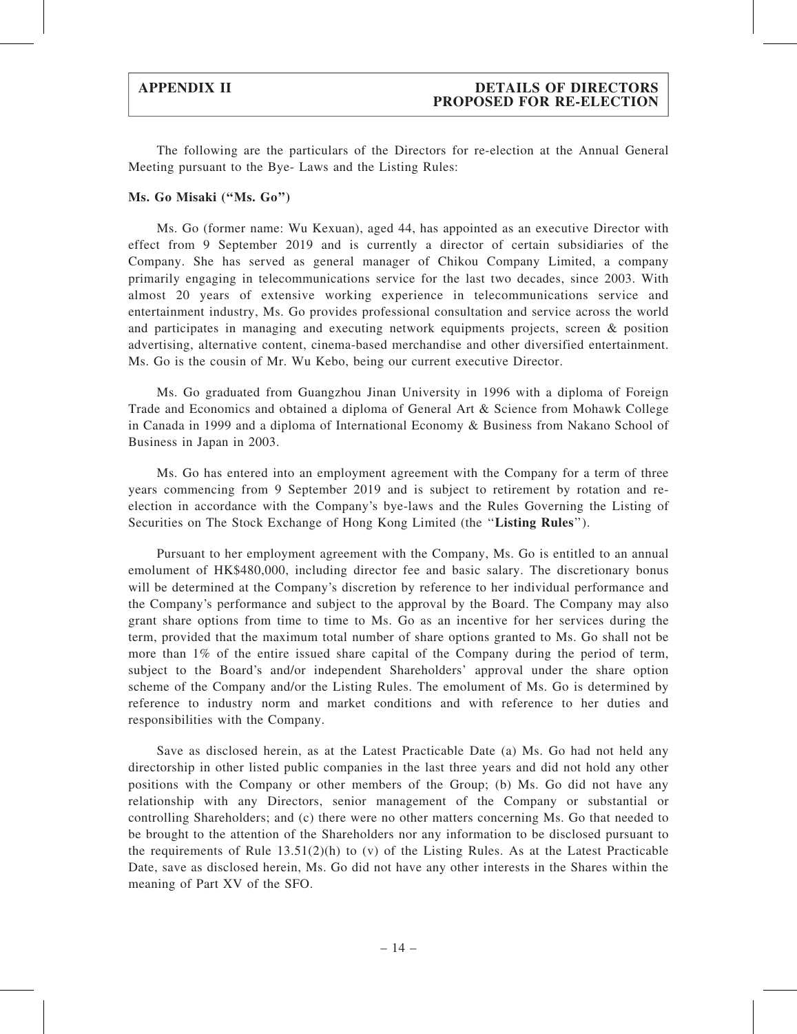The following are the particulars of the Directors for re-election at the Annual General Meeting pursuant to the Bye- Laws and the Listing Rules:

#### Ms. Go Misaki (''Ms. Go'')

Ms. Go (former name: Wu Kexuan), aged 44, has appointed as an executive Director with effect from 9 September 2019 and is currently a director of certain subsidiaries of the Company. She has served as general manager of Chikou Company Limited, a company primarily engaging in telecommunications service for the last two decades, since 2003. With almost 20 years of extensive working experience in telecommunications service and entertainment industry, Ms. Go provides professional consultation and service across the world and participates in managing and executing network equipments projects, screen & position advertising, alternative content, cinema-based merchandise and other diversified entertainment. Ms. Go is the cousin of Mr. Wu Kebo, being our current executive Director.

Ms. Go graduated from Guangzhou Jinan University in 1996 with a diploma of Foreign Trade and Economics and obtained a diploma of General Art & Science from Mohawk College in Canada in 1999 and a diploma of International Economy & Business from Nakano School of Business in Japan in 2003.

Ms. Go has entered into an employment agreement with the Company for a term of three years commencing from 9 September 2019 and is subject to retirement by rotation and reelection in accordance with the Company's bye-laws and the Rules Governing the Listing of Securities on The Stock Exchange of Hong Kong Limited (the "Listing Rules").

Pursuant to her employment agreement with the Company, Ms. Go is entitled to an annual emolument of HK\$480,000, including director fee and basic salary. The discretionary bonus will be determined at the Company's discretion by reference to her individual performance and the Company's performance and subject to the approval by the Board. The Company may also grant share options from time to time to Ms. Go as an incentive for her services during the term, provided that the maximum total number of share options granted to Ms. Go shall not be more than 1% of the entire issued share capital of the Company during the period of term, subject to the Board's and/or independent Shareholders' approval under the share option scheme of the Company and/or the Listing Rules. The emolument of Ms. Go is determined by reference to industry norm and market conditions and with reference to her duties and responsibilities with the Company.

Save as disclosed herein, as at the Latest Practicable Date (a) Ms. Go had not held any directorship in other listed public companies in the last three years and did not hold any other positions with the Company or other members of the Group; (b) Ms. Go did not have any relationship with any Directors, senior management of the Company or substantial or controlling Shareholders; and (c) there were no other matters concerning Ms. Go that needed to be brought to the attention of the Shareholders nor any information to be disclosed pursuant to the requirements of Rule  $13.51(2)(h)$  to (v) of the Listing Rules. As at the Latest Practicable Date, save as disclosed herein, Ms. Go did not have any other interests in the Shares within the meaning of Part XV of the SFO.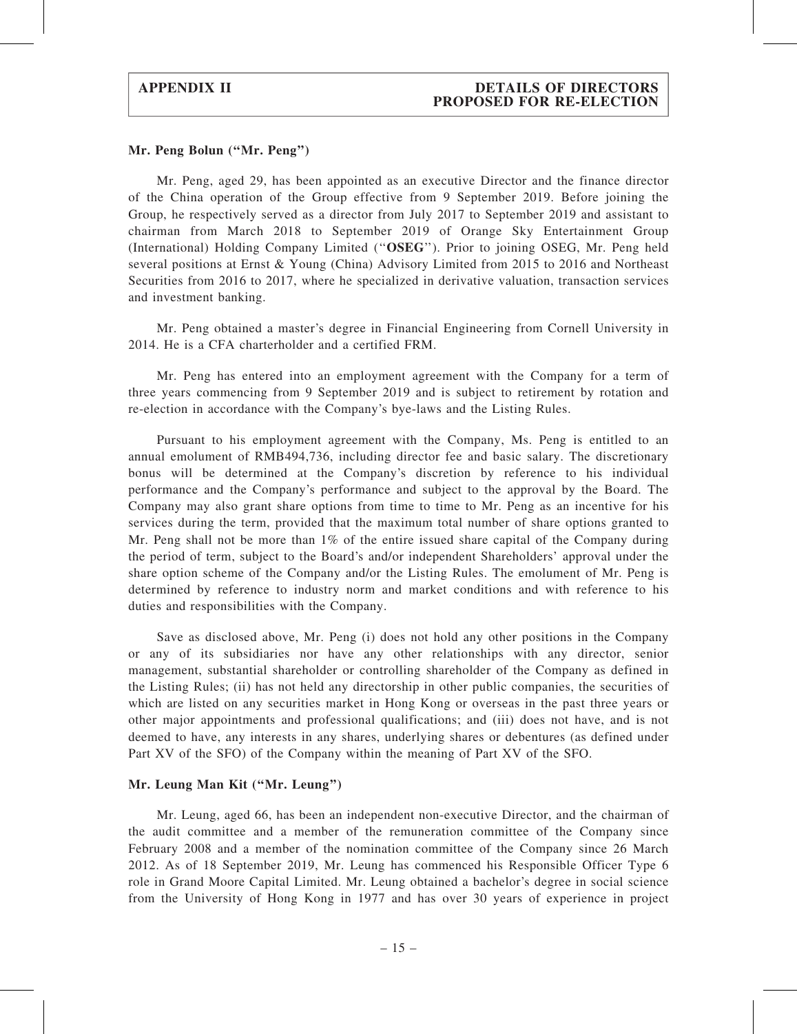#### Mr. Peng Bolun (''Mr. Peng'')

Mr. Peng, aged 29, has been appointed as an executive Director and the finance director of the China operation of the Group effective from 9 September 2019. Before joining the Group, he respectively served as a director from July 2017 to September 2019 and assistant to chairman from March 2018 to September 2019 of Orange Sky Entertainment Group (International) Holding Company Limited (''OSEG''). Prior to joining OSEG, Mr. Peng held several positions at Ernst & Young (China) Advisory Limited from 2015 to 2016 and Northeast Securities from 2016 to 2017, where he specialized in derivative valuation, transaction services and investment banking.

Mr. Peng obtained a master's degree in Financial Engineering from Cornell University in 2014. He is a CFA charterholder and a certified FRM.

Mr. Peng has entered into an employment agreement with the Company for a term of three years commencing from 9 September 2019 and is subject to retirement by rotation and re-election in accordance with the Company's bye-laws and the Listing Rules.

Pursuant to his employment agreement with the Company, Ms. Peng is entitled to an annual emolument of RMB494,736, including director fee and basic salary. The discretionary bonus will be determined at the Company's discretion by reference to his individual performance and the Company's performance and subject to the approval by the Board. The Company may also grant share options from time to time to Mr. Peng as an incentive for his services during the term, provided that the maximum total number of share options granted to Mr. Peng shall not be more than 1% of the entire issued share capital of the Company during the period of term, subject to the Board's and/or independent Shareholders' approval under the share option scheme of the Company and/or the Listing Rules. The emolument of Mr. Peng is determined by reference to industry norm and market conditions and with reference to his duties and responsibilities with the Company.

Save as disclosed above, Mr. Peng (i) does not hold any other positions in the Company or any of its subsidiaries nor have any other relationships with any director, senior management, substantial shareholder or controlling shareholder of the Company as defined in the Listing Rules; (ii) has not held any directorship in other public companies, the securities of which are listed on any securities market in Hong Kong or overseas in the past three years or other major appointments and professional qualifications; and (iii) does not have, and is not deemed to have, any interests in any shares, underlying shares or debentures (as defined under Part XV of the SFO) of the Company within the meaning of Part XV of the SFO.

#### Mr. Leung Man Kit (''Mr. Leung'')

Mr. Leung, aged 66, has been an independent non-executive Director, and the chairman of the audit committee and a member of the remuneration committee of the Company since February 2008 and a member of the nomination committee of the Company since 26 March 2012. As of 18 September 2019, Mr. Leung has commenced his Responsible Officer Type 6 role in Grand Moore Capital Limited. Mr. Leung obtained a bachelor's degree in social science from the University of Hong Kong in 1977 and has over 30 years of experience in project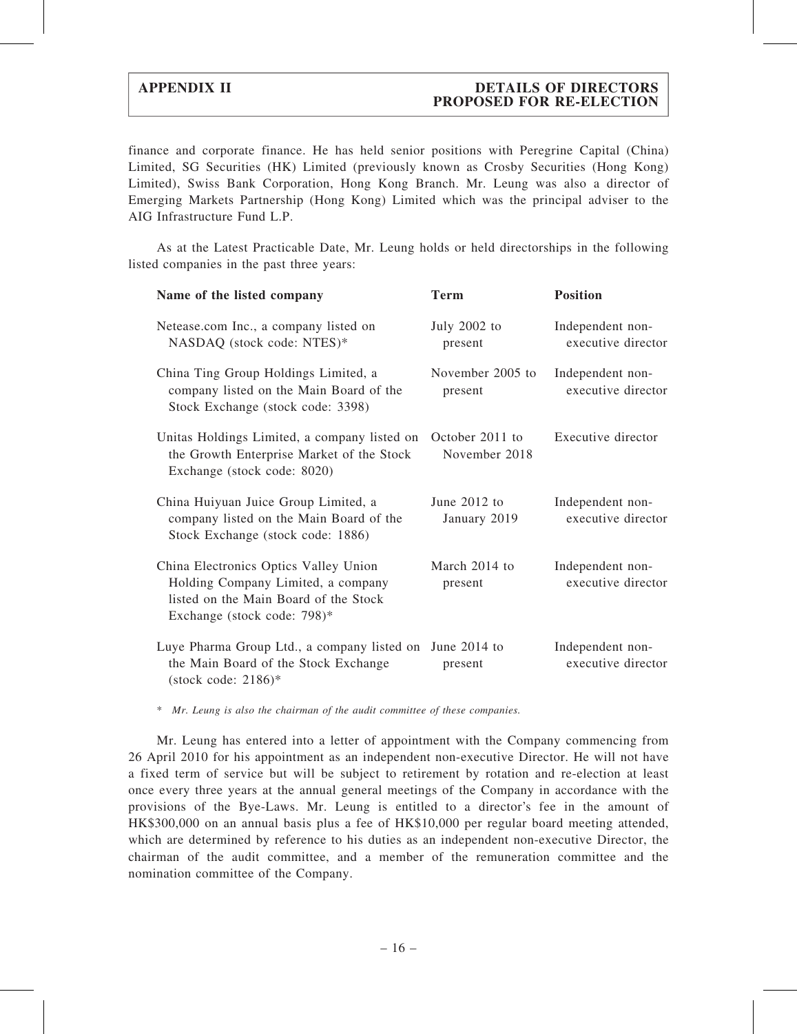### APPENDIX II DETAILS OF DIRECTORS PROPOSED FOR RE-ELECTION

finance and corporate finance. He has held senior positions with Peregrine Capital (China) Limited, SG Securities (HK) Limited (previously known as Crosby Securities (Hong Kong) Limited), Swiss Bank Corporation, Hong Kong Branch. Mr. Leung was also a director of Emerging Markets Partnership (Hong Kong) Limited which was the principal adviser to the AIG Infrastructure Fund L.P.

As at the Latest Practicable Date, Mr. Leung holds or held directorships in the following listed companies in the past three years:

| Name of the listed company                                                                                                                          | Term                             | <b>Position</b>                        |
|-----------------------------------------------------------------------------------------------------------------------------------------------------|----------------------------------|----------------------------------------|
| Netease.com Inc., a company listed on<br>NASDAQ (stock code: NTES)*                                                                                 | July $2002$ to<br>present        | Independent non-<br>executive director |
| China Ting Group Holdings Limited, a<br>company listed on the Main Board of the<br>Stock Exchange (stock code: 3398)                                | November 2005 to<br>present      | Independent non-<br>executive director |
| Unitas Holdings Limited, a company listed on<br>the Growth Enterprise Market of the Stock<br>Exchange (stock code: 8020)                            | October 2011 to<br>November 2018 | Executive director                     |
| China Huiyuan Juice Group Limited, a<br>company listed on the Main Board of the<br>Stock Exchange (stock code: 1886)                                | June 2012 to<br>January 2019     | Independent non-<br>executive director |
| China Electronics Optics Valley Union<br>Holding Company Limited, a company<br>listed on the Main Board of the Stock<br>Exchange (stock code: 798)* | March 2014 to<br>present         | Independent non-<br>executive director |
| Luye Pharma Group Ltd., a company listed on<br>the Main Board of the Stock Exchange<br>(stock code: $2186$ )*                                       | June $2014$ to<br>present        | Independent non-<br>executive director |

\* Mr. Leung is also the chairman of the audit committee of these companies.

Mr. Leung has entered into a letter of appointment with the Company commencing from 26 April 2010 for his appointment as an independent non-executive Director. He will not have a fixed term of service but will be subject to retirement by rotation and re-election at least once every three years at the annual general meetings of the Company in accordance with the provisions of the Bye-Laws. Mr. Leung is entitled to a director's fee in the amount of HK\$300,000 on an annual basis plus a fee of HK\$10,000 per regular board meeting attended, which are determined by reference to his duties as an independent non-executive Director, the chairman of the audit committee, and a member of the remuneration committee and the nomination committee of the Company.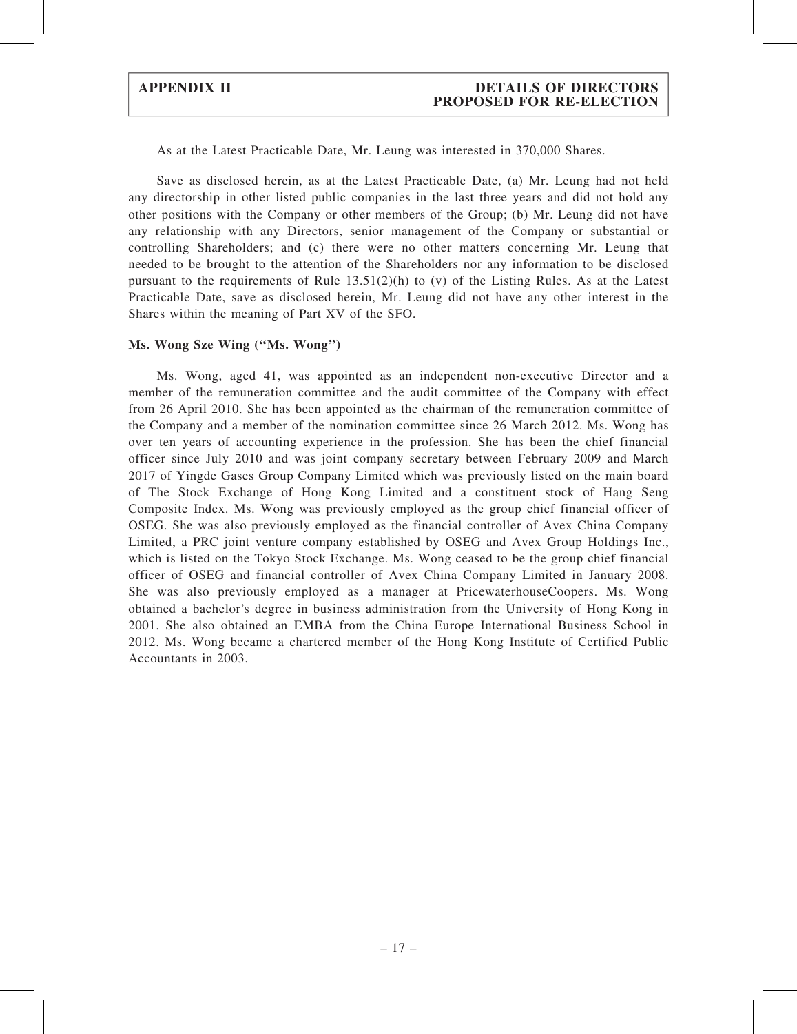#### APPENDIX II DETAILS OF DIRECTORS PROPOSED FOR RE-ELECTION

As at the Latest Practicable Date, Mr. Leung was interested in 370,000 Shares.

Save as disclosed herein, as at the Latest Practicable Date, (a) Mr. Leung had not held any directorship in other listed public companies in the last three years and did not hold any other positions with the Company or other members of the Group; (b) Mr. Leung did not have any relationship with any Directors, senior management of the Company or substantial or controlling Shareholders; and (c) there were no other matters concerning Mr. Leung that needed to be brought to the attention of the Shareholders nor any information to be disclosed pursuant to the requirements of Rule  $13.51(2)(h)$  to (v) of the Listing Rules. As at the Latest Practicable Date, save as disclosed herein, Mr. Leung did not have any other interest in the Shares within the meaning of Part XV of the SFO.

#### Ms. Wong Sze Wing (''Ms. Wong'')

Ms. Wong, aged 41, was appointed as an independent non-executive Director and a member of the remuneration committee and the audit committee of the Company with effect from 26 April 2010. She has been appointed as the chairman of the remuneration committee of the Company and a member of the nomination committee since 26 March 2012. Ms. Wong has over ten years of accounting experience in the profession. She has been the chief financial officer since July 2010 and was joint company secretary between February 2009 and March 2017 of Yingde Gases Group Company Limited which was previously listed on the main board of The Stock Exchange of Hong Kong Limited and a constituent stock of Hang Seng Composite Index. Ms. Wong was previously employed as the group chief financial officer of OSEG. She was also previously employed as the financial controller of Avex China Company Limited, a PRC joint venture company established by OSEG and Avex Group Holdings Inc., which is listed on the Tokyo Stock Exchange. Ms. Wong ceased to be the group chief financial officer of OSEG and financial controller of Avex China Company Limited in January 2008. She was also previously employed as a manager at PricewaterhouseCoopers. Ms. Wong obtained a bachelor's degree in business administration from the University of Hong Kong in 2001. She also obtained an EMBA from the China Europe International Business School in 2012. Ms. Wong became a chartered member of the Hong Kong Institute of Certified Public Accountants in 2003.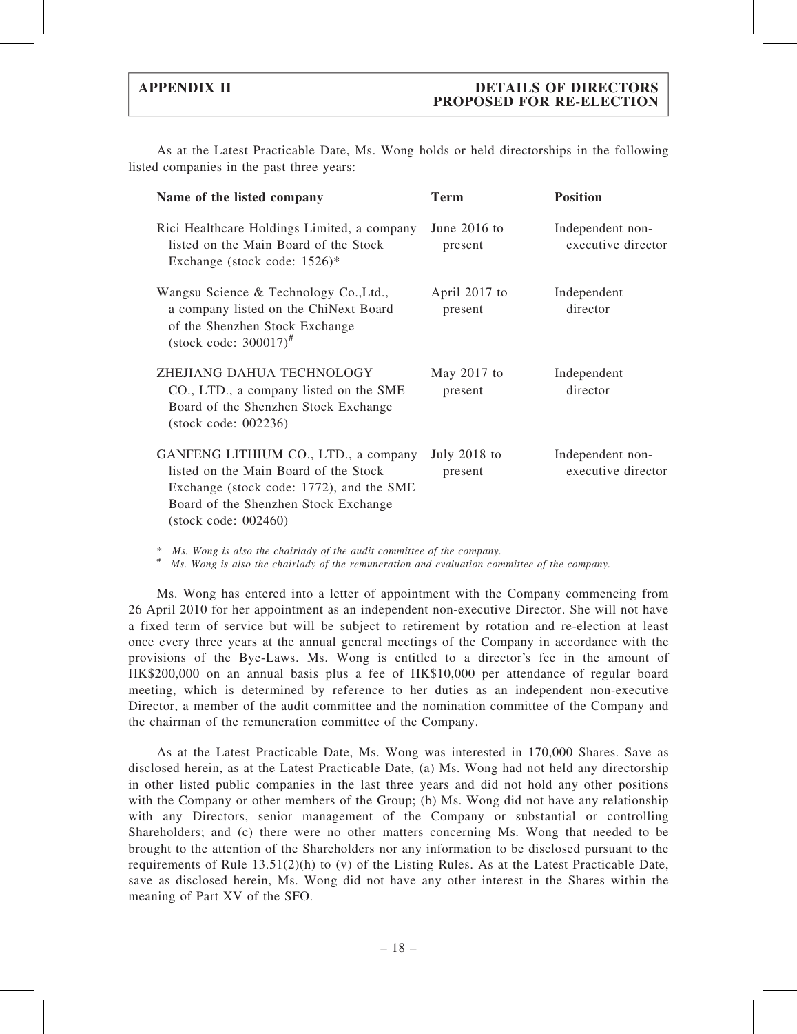As at the Latest Practicable Date, Ms. Wong holds or held directorships in the following listed companies in the past three years:

| Name of the listed company                                                                                                                                                                          | Term                      | <b>Position</b>                        |
|-----------------------------------------------------------------------------------------------------------------------------------------------------------------------------------------------------|---------------------------|----------------------------------------|
| Rici Healthcare Holdings Limited, a company<br>listed on the Main Board of the Stock<br>Exchange (stock code: $1526$ )*                                                                             | June $2016$ to<br>present | Independent non-<br>executive director |
| Wangsu Science & Technology Co., Ltd.,<br>a company listed on the ChiNext Board<br>of the Shenzhen Stock Exchange<br>(stock code: $300017$ ) <sup>#</sup>                                           | April 2017 to<br>present  | Independent<br>director                |
| ZHEJIANG DAHUA TECHNOLOGY<br>CO., LTD., a company listed on the SME<br>Board of the Shenzhen Stock Exchange<br>$(\text{stock code: } 002236)$                                                       | May $2017$ to<br>present  | Independent<br>director                |
| GANFENG LITHIUM CO., LTD., a company<br>listed on the Main Board of the Stock<br>Exchange (stock code: 1772), and the SME<br>Board of the Shenzhen Stock Exchange<br>$(\text{stock code: } 002460)$ | July $2018$ to<br>present | Independent non-<br>executive director |

\* Ms. Wong is also the chairlady of the audit committee of the company. # Ms. Wong is also the chairlady of the remuneration and evaluation committee of the company.

Ms. Wong has entered into a letter of appointment with the Company commencing from 26 April 2010 for her appointment as an independent non-executive Director. She will not have a fixed term of service but will be subject to retirement by rotation and re-election at least once every three years at the annual general meetings of the Company in accordance with the provisions of the Bye-Laws. Ms. Wong is entitled to a director's fee in the amount of HK\$200,000 on an annual basis plus a fee of HK\$10,000 per attendance of regular board meeting, which is determined by reference to her duties as an independent non-executive Director, a member of the audit committee and the nomination committee of the Company and the chairman of the remuneration committee of the Company.

As at the Latest Practicable Date, Ms. Wong was interested in 170,000 Shares. Save as disclosed herein, as at the Latest Practicable Date, (a) Ms. Wong had not held any directorship in other listed public companies in the last three years and did not hold any other positions with the Company or other members of the Group; (b) Ms. Wong did not have any relationship with any Directors, senior management of the Company or substantial or controlling Shareholders; and (c) there were no other matters concerning Ms. Wong that needed to be brought to the attention of the Shareholders nor any information to be disclosed pursuant to the requirements of Rule  $13.51(2)$ (h) to (v) of the Listing Rules. As at the Latest Practicable Date, save as disclosed herein, Ms. Wong did not have any other interest in the Shares within the meaning of Part XV of the SFO.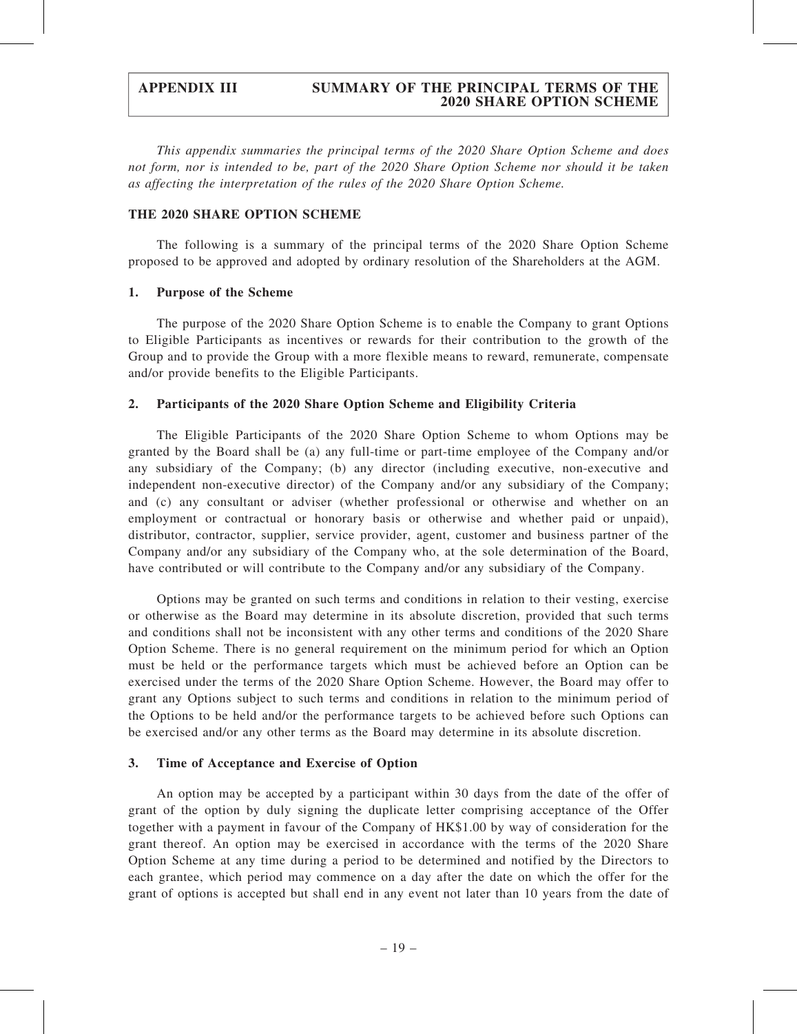### APPENDIX III SUMMARY OF THE PRINCIPAL TERMS OF THE 2020 SHARE OPTION SCHEME

This appendix summaries the principal terms of the 2020 Share Option Scheme and does not form, nor is intended to be, part of the 2020 Share Option Scheme nor should it be taken as affecting the interpretation of the rules of the 2020 Share Option Scheme.

#### THE 2020 SHARE OPTION SCHEME

The following is a summary of the principal terms of the 2020 Share Option Scheme proposed to be approved and adopted by ordinary resolution of the Shareholders at the AGM.

#### 1. Purpose of the Scheme

The purpose of the 2020 Share Option Scheme is to enable the Company to grant Options to Eligible Participants as incentives or rewards for their contribution to the growth of the Group and to provide the Group with a more flexible means to reward, remunerate, compensate and/or provide benefits to the Eligible Participants.

#### 2. Participants of the 2020 Share Option Scheme and Eligibility Criteria

The Eligible Participants of the 2020 Share Option Scheme to whom Options may be granted by the Board shall be (a) any full-time or part-time employee of the Company and/or any subsidiary of the Company; (b) any director (including executive, non-executive and independent non-executive director) of the Company and/or any subsidiary of the Company; and (c) any consultant or adviser (whether professional or otherwise and whether on an employment or contractual or honorary basis or otherwise and whether paid or unpaid), distributor, contractor, supplier, service provider, agent, customer and business partner of the Company and/or any subsidiary of the Company who, at the sole determination of the Board, have contributed or will contribute to the Company and/or any subsidiary of the Company.

Options may be granted on such terms and conditions in relation to their vesting, exercise or otherwise as the Board may determine in its absolute discretion, provided that such terms and conditions shall not be inconsistent with any other terms and conditions of the 2020 Share Option Scheme. There is no general requirement on the minimum period for which an Option must be held or the performance targets which must be achieved before an Option can be exercised under the terms of the 2020 Share Option Scheme. However, the Board may offer to grant any Options subject to such terms and conditions in relation to the minimum period of the Options to be held and/or the performance targets to be achieved before such Options can be exercised and/or any other terms as the Board may determine in its absolute discretion.

#### 3. Time of Acceptance and Exercise of Option

An option may be accepted by a participant within 30 days from the date of the offer of grant of the option by duly signing the duplicate letter comprising acceptance of the Offer together with a payment in favour of the Company of HK\$1.00 by way of consideration for the grant thereof. An option may be exercised in accordance with the terms of the 2020 Share Option Scheme at any time during a period to be determined and notified by the Directors to each grantee, which period may commence on a day after the date on which the offer for the grant of options is accepted but shall end in any event not later than 10 years from the date of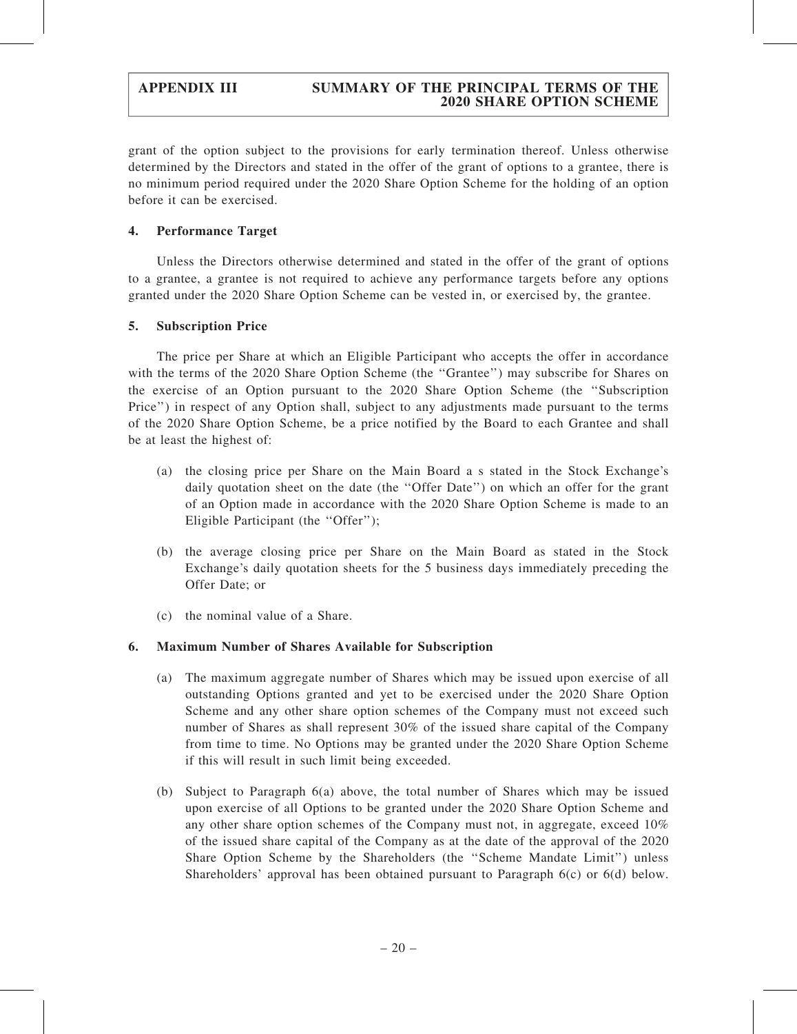grant of the option subject to the provisions for early termination thereof. Unless otherwise determined by the Directors and stated in the offer of the grant of options to a grantee, there is no minimum period required under the 2020 Share Option Scheme for the holding of an option before it can be exercised.

### 4. Performance Target

Unless the Directors otherwise determined and stated in the offer of the grant of options to a grantee, a grantee is not required to achieve any performance targets before any options granted under the 2020 Share Option Scheme can be vested in, or exercised by, the grantee.

#### 5. Subscription Price

The price per Share at which an Eligible Participant who accepts the offer in accordance with the terms of the 2020 Share Option Scheme (the "Grantee") may subscribe for Shares on the exercise of an Option pursuant to the 2020 Share Option Scheme (the ''Subscription Price'') in respect of any Option shall, subject to any adjustments made pursuant to the terms of the 2020 Share Option Scheme, be a price notified by the Board to each Grantee and shall be at least the highest of:

- (a) the closing price per Share on the Main Board a s stated in the Stock Exchange's daily quotation sheet on the date (the ''Offer Date'') on which an offer for the grant of an Option made in accordance with the 2020 Share Option Scheme is made to an Eligible Participant (the "Offer");
- (b) the average closing price per Share on the Main Board as stated in the Stock Exchange's daily quotation sheets for the 5 business days immediately preceding the Offer Date; or
- (c) the nominal value of a Share.

### 6. Maximum Number of Shares Available for Subscription

- (a) The maximum aggregate number of Shares which may be issued upon exercise of all outstanding Options granted and yet to be exercised under the 2020 Share Option Scheme and any other share option schemes of the Company must not exceed such number of Shares as shall represent 30% of the issued share capital of the Company from time to time. No Options may be granted under the 2020 Share Option Scheme if this will result in such limit being exceeded.
- (b) Subject to Paragraph 6(a) above, the total number of Shares which may be issued upon exercise of all Options to be granted under the 2020 Share Option Scheme and any other share option schemes of the Company must not, in aggregate, exceed 10% of the issued share capital of the Company as at the date of the approval of the 2020 Share Option Scheme by the Shareholders (the ''Scheme Mandate Limit'') unless Shareholders' approval has been obtained pursuant to Paragraph 6(c) or 6(d) below.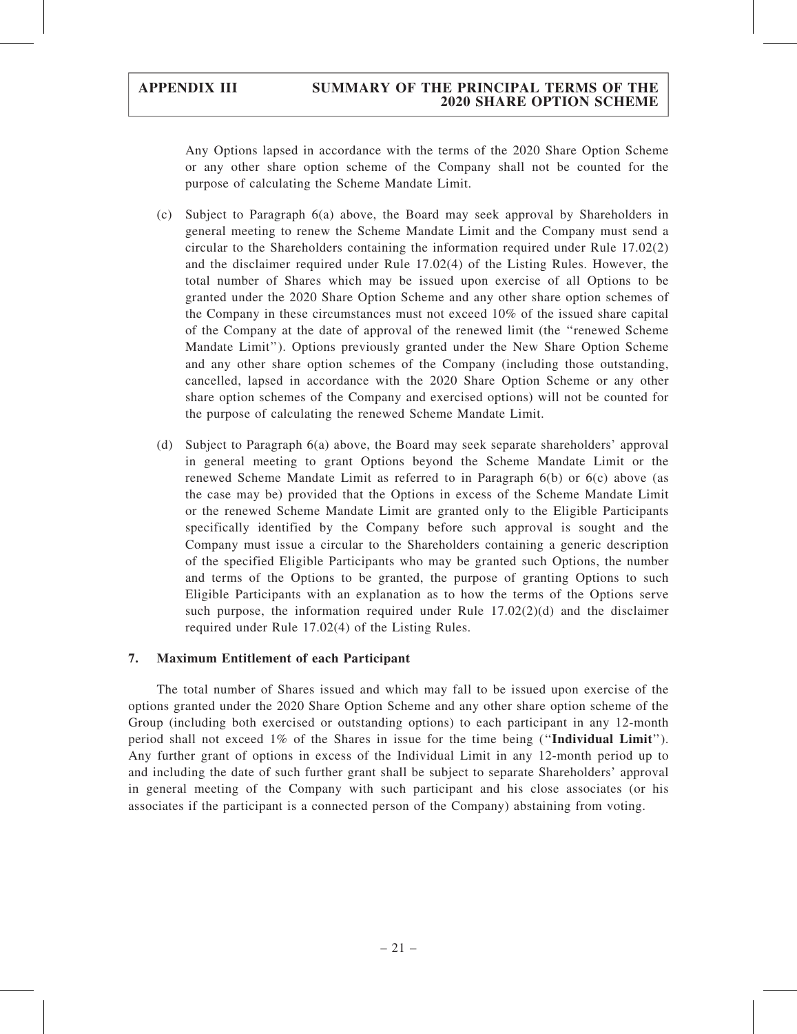#### APPENDIX III SUMMARY OF THE PRINCIPAL TERMS OF THE 2020 SHARE OPTION SCHEME

Any Options lapsed in accordance with the terms of the 2020 Share Option Scheme or any other share option scheme of the Company shall not be counted for the purpose of calculating the Scheme Mandate Limit.

- (c) Subject to Paragraph 6(a) above, the Board may seek approval by Shareholders in general meeting to renew the Scheme Mandate Limit and the Company must send a circular to the Shareholders containing the information required under Rule 17.02(2) and the disclaimer required under Rule 17.02(4) of the Listing Rules. However, the total number of Shares which may be issued upon exercise of all Options to be granted under the 2020 Share Option Scheme and any other share option schemes of the Company in these circumstances must not exceed 10% of the issued share capital of the Company at the date of approval of the renewed limit (the ''renewed Scheme Mandate Limit''). Options previously granted under the New Share Option Scheme and any other share option schemes of the Company (including those outstanding, cancelled, lapsed in accordance with the 2020 Share Option Scheme or any other share option schemes of the Company and exercised options) will not be counted for the purpose of calculating the renewed Scheme Mandate Limit.
- (d) Subject to Paragraph 6(a) above, the Board may seek separate shareholders' approval in general meeting to grant Options beyond the Scheme Mandate Limit or the renewed Scheme Mandate Limit as referred to in Paragraph 6(b) or 6(c) above (as the case may be) provided that the Options in excess of the Scheme Mandate Limit or the renewed Scheme Mandate Limit are granted only to the Eligible Participants specifically identified by the Company before such approval is sought and the Company must issue a circular to the Shareholders containing a generic description of the specified Eligible Participants who may be granted such Options, the number and terms of the Options to be granted, the purpose of granting Options to such Eligible Participants with an explanation as to how the terms of the Options serve such purpose, the information required under Rule  $17.02(2)(d)$  and the disclaimer required under Rule 17.02(4) of the Listing Rules.

#### 7. Maximum Entitlement of each Participant

The total number of Shares issued and which may fall to be issued upon exercise of the options granted under the 2020 Share Option Scheme and any other share option scheme of the Group (including both exercised or outstanding options) to each participant in any 12-month period shall not exceed 1% of the Shares in issue for the time being (''Individual Limit''). Any further grant of options in excess of the Individual Limit in any 12-month period up to and including the date of such further grant shall be subject to separate Shareholders' approval in general meeting of the Company with such participant and his close associates (or his associates if the participant is a connected person of the Company) abstaining from voting.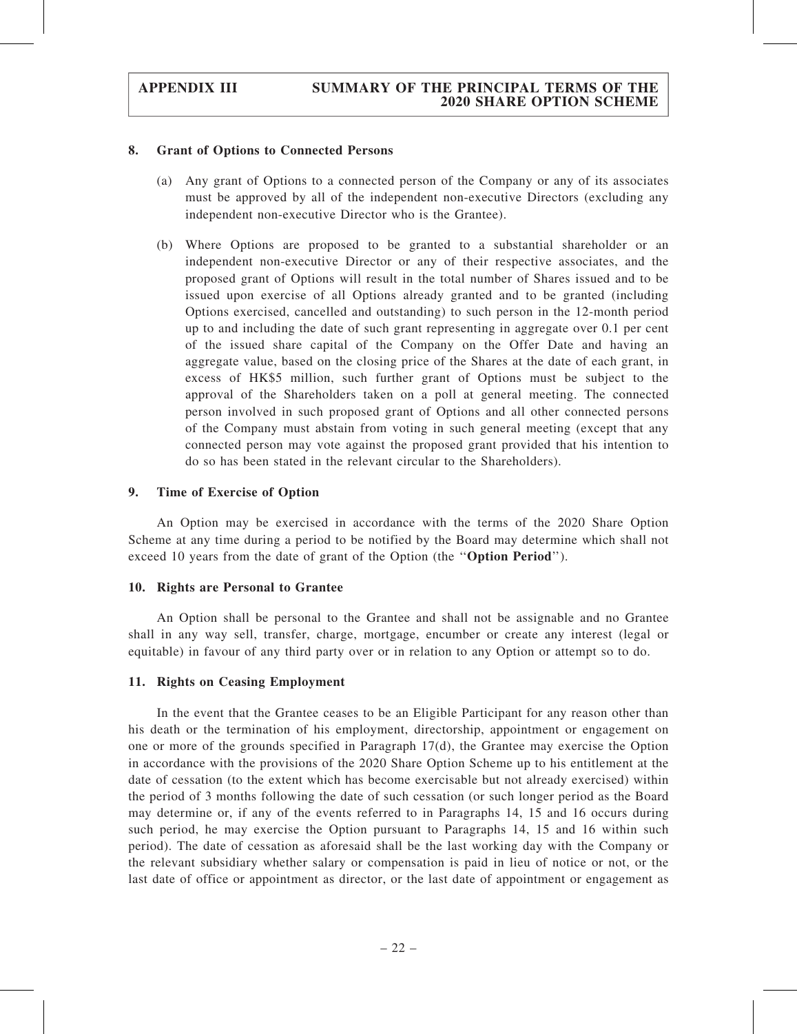#### 8. Grant of Options to Connected Persons

- (a) Any grant of Options to a connected person of the Company or any of its associates must be approved by all of the independent non-executive Directors (excluding any independent non-executive Director who is the Grantee).
- (b) Where Options are proposed to be granted to a substantial shareholder or an independent non-executive Director or any of their respective associates, and the proposed grant of Options will result in the total number of Shares issued and to be issued upon exercise of all Options already granted and to be granted (including Options exercised, cancelled and outstanding) to such person in the 12-month period up to and including the date of such grant representing in aggregate over 0.1 per cent of the issued share capital of the Company on the Offer Date and having an aggregate value, based on the closing price of the Shares at the date of each grant, in excess of HK\$5 million, such further grant of Options must be subject to the approval of the Shareholders taken on a poll at general meeting. The connected person involved in such proposed grant of Options and all other connected persons of the Company must abstain from voting in such general meeting (except that any connected person may vote against the proposed grant provided that his intention to do so has been stated in the relevant circular to the Shareholders).

#### 9. Time of Exercise of Option

An Option may be exercised in accordance with the terms of the 2020 Share Option Scheme at any time during a period to be notified by the Board may determine which shall not exceed 10 years from the date of grant of the Option (the ''Option Period'').

#### 10. Rights are Personal to Grantee

An Option shall be personal to the Grantee and shall not be assignable and no Grantee shall in any way sell, transfer, charge, mortgage, encumber or create any interest (legal or equitable) in favour of any third party over or in relation to any Option or attempt so to do.

#### 11. Rights on Ceasing Employment

In the event that the Grantee ceases to be an Eligible Participant for any reason other than his death or the termination of his employment, directorship, appointment or engagement on one or more of the grounds specified in Paragraph 17(d), the Grantee may exercise the Option in accordance with the provisions of the 2020 Share Option Scheme up to his entitlement at the date of cessation (to the extent which has become exercisable but not already exercised) within the period of 3 months following the date of such cessation (or such longer period as the Board may determine or, if any of the events referred to in Paragraphs 14, 15 and 16 occurs during such period, he may exercise the Option pursuant to Paragraphs 14, 15 and 16 within such period). The date of cessation as aforesaid shall be the last working day with the Company or the relevant subsidiary whether salary or compensation is paid in lieu of notice or not, or the last date of office or appointment as director, or the last date of appointment or engagement as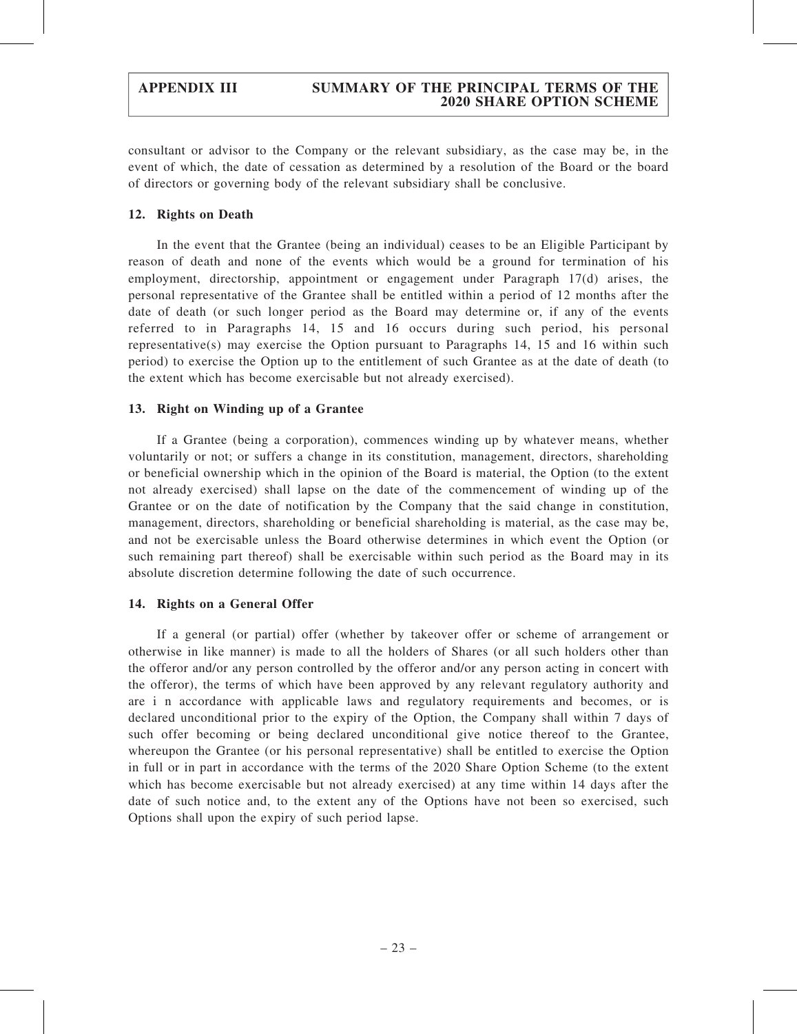### APPENDIX III SUMMARY OF THE PRINCIPAL TERMS OF THE 2020 SHARE OPTION SCHEME

consultant or advisor to the Company or the relevant subsidiary, as the case may be, in the event of which, the date of cessation as determined by a resolution of the Board or the board of directors or governing body of the relevant subsidiary shall be conclusive.

#### 12. Rights on Death

In the event that the Grantee (being an individual) ceases to be an Eligible Participant by reason of death and none of the events which would be a ground for termination of his employment, directorship, appointment or engagement under Paragraph 17(d) arises, the personal representative of the Grantee shall be entitled within a period of 12 months after the date of death (or such longer period as the Board may determine or, if any of the events referred to in Paragraphs 14, 15 and 16 occurs during such period, his personal representative(s) may exercise the Option pursuant to Paragraphs 14, 15 and 16 within such period) to exercise the Option up to the entitlement of such Grantee as at the date of death (to the extent which has become exercisable but not already exercised).

#### 13. Right on Winding up of a Grantee

If a Grantee (being a corporation), commences winding up by whatever means, whether voluntarily or not; or suffers a change in its constitution, management, directors, shareholding or beneficial ownership which in the opinion of the Board is material, the Option (to the extent not already exercised) shall lapse on the date of the commencement of winding up of the Grantee or on the date of notification by the Company that the said change in constitution, management, directors, shareholding or beneficial shareholding is material, as the case may be, and not be exercisable unless the Board otherwise determines in which event the Option (or such remaining part thereof) shall be exercisable within such period as the Board may in its absolute discretion determine following the date of such occurrence.

#### 14. Rights on a General Offer

If a general (or partial) offer (whether by takeover offer or scheme of arrangement or otherwise in like manner) is made to all the holders of Shares (or all such holders other than the offeror and/or any person controlled by the offeror and/or any person acting in concert with the offeror), the terms of which have been approved by any relevant regulatory authority and are i n accordance with applicable laws and regulatory requirements and becomes, or is declared unconditional prior to the expiry of the Option, the Company shall within 7 days of such offer becoming or being declared unconditional give notice thereof to the Grantee, whereupon the Grantee (or his personal representative) shall be entitled to exercise the Option in full or in part in accordance with the terms of the 2020 Share Option Scheme (to the extent which has become exercisable but not already exercised) at any time within 14 days after the date of such notice and, to the extent any of the Options have not been so exercised, such Options shall upon the expiry of such period lapse.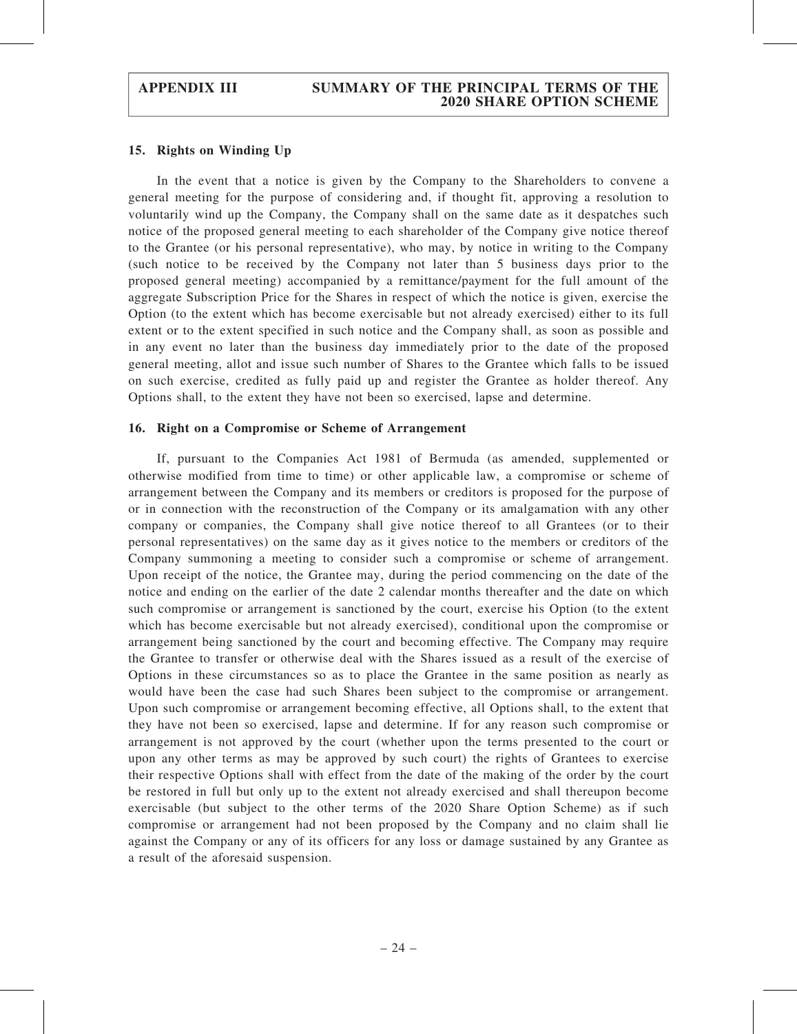#### APPENDIX III SUMMARY OF THE PRINCIPAL TERMS OF THE 2020 SHARE OPTION SCHEME

#### 15. Rights on Winding Up

In the event that a notice is given by the Company to the Shareholders to convene a general meeting for the purpose of considering and, if thought fit, approving a resolution to voluntarily wind up the Company, the Company shall on the same date as it despatches such notice of the proposed general meeting to each shareholder of the Company give notice thereof to the Grantee (or his personal representative), who may, by notice in writing to the Company (such notice to be received by the Company not later than 5 business days prior to the proposed general meeting) accompanied by a remittance/payment for the full amount of the aggregate Subscription Price for the Shares in respect of which the notice is given, exercise the Option (to the extent which has become exercisable but not already exercised) either to its full extent or to the extent specified in such notice and the Company shall, as soon as possible and in any event no later than the business day immediately prior to the date of the proposed general meeting, allot and issue such number of Shares to the Grantee which falls to be issued on such exercise, credited as fully paid up and register the Grantee as holder thereof. Any Options shall, to the extent they have not been so exercised, lapse and determine.

#### 16. Right on a Compromise or Scheme of Arrangement

If, pursuant to the Companies Act 1981 of Bermuda (as amended, supplemented or otherwise modified from time to time) or other applicable law, a compromise or scheme of arrangement between the Company and its members or creditors is proposed for the purpose of or in connection with the reconstruction of the Company or its amalgamation with any other company or companies, the Company shall give notice thereof to all Grantees (or to their personal representatives) on the same day as it gives notice to the members or creditors of the Company summoning a meeting to consider such a compromise or scheme of arrangement. Upon receipt of the notice, the Grantee may, during the period commencing on the date of the notice and ending on the earlier of the date 2 calendar months thereafter and the date on which such compromise or arrangement is sanctioned by the court, exercise his Option (to the extent which has become exercisable but not already exercised), conditional upon the compromise or arrangement being sanctioned by the court and becoming effective. The Company may require the Grantee to transfer or otherwise deal with the Shares issued as a result of the exercise of Options in these circumstances so as to place the Grantee in the same position as nearly as would have been the case had such Shares been subject to the compromise or arrangement. Upon such compromise or arrangement becoming effective, all Options shall, to the extent that they have not been so exercised, lapse and determine. If for any reason such compromise or arrangement is not approved by the court (whether upon the terms presented to the court or upon any other terms as may be approved by such court) the rights of Grantees to exercise their respective Options shall with effect from the date of the making of the order by the court be restored in full but only up to the extent not already exercised and shall thereupon become exercisable (but subject to the other terms of the 2020 Share Option Scheme) as if such compromise or arrangement had not been proposed by the Company and no claim shall lie against the Company or any of its officers for any loss or damage sustained by any Grantee as a result of the aforesaid suspension.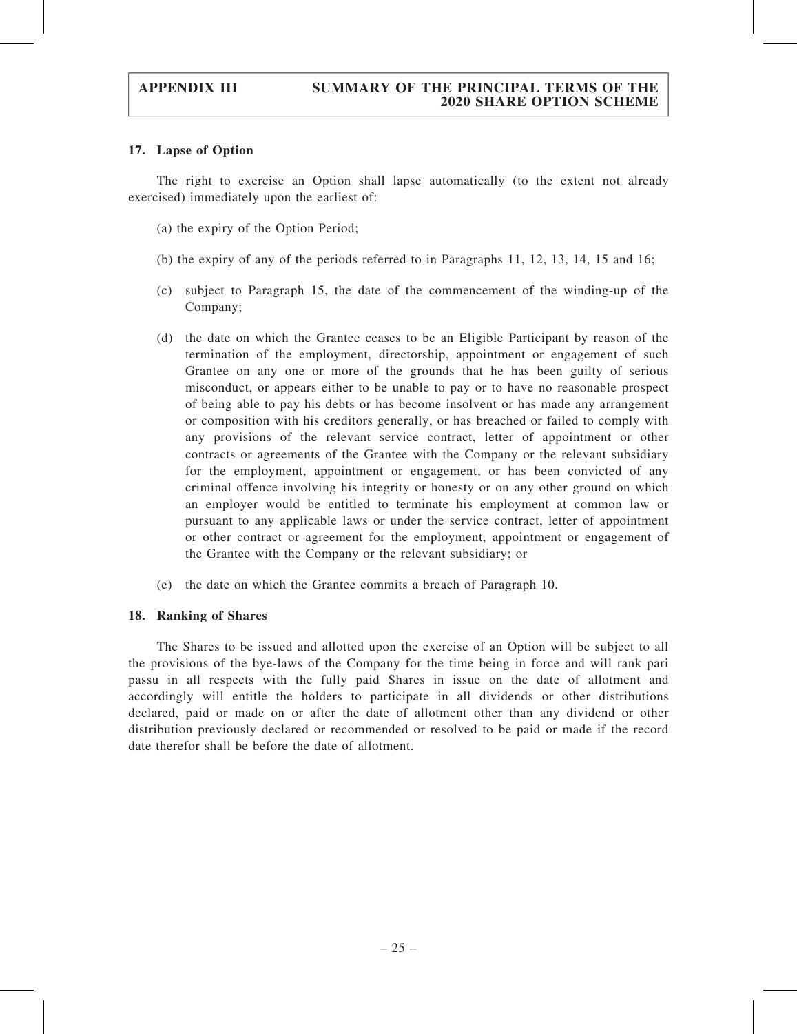#### 17. Lapse of Option

The right to exercise an Option shall lapse automatically (to the extent not already exercised) immediately upon the earliest of:

- (a) the expiry of the Option Period;
- (b) the expiry of any of the periods referred to in Paragraphs 11, 12, 13, 14, 15 and 16;
- (c) subject to Paragraph 15, the date of the commencement of the winding-up of the Company;
- (d) the date on which the Grantee ceases to be an Eligible Participant by reason of the termination of the employment, directorship, appointment or engagement of such Grantee on any one or more of the grounds that he has been guilty of serious misconduct, or appears either to be unable to pay or to have no reasonable prospect of being able to pay his debts or has become insolvent or has made any arrangement or composition with his creditors generally, or has breached or failed to comply with any provisions of the relevant service contract, letter of appointment or other contracts or agreements of the Grantee with the Company or the relevant subsidiary for the employment, appointment or engagement, or has been convicted of any criminal offence involving his integrity or honesty or on any other ground on which an employer would be entitled to terminate his employment at common law or pursuant to any applicable laws or under the service contract, letter of appointment or other contract or agreement for the employment, appointment or engagement of the Grantee with the Company or the relevant subsidiary; or
- (e) the date on which the Grantee commits a breach of Paragraph 10.

#### 18. Ranking of Shares

The Shares to be issued and allotted upon the exercise of an Option will be subject to all the provisions of the bye-laws of the Company for the time being in force and will rank pari passu in all respects with the fully paid Shares in issue on the date of allotment and accordingly will entitle the holders to participate in all dividends or other distributions declared, paid or made on or after the date of allotment other than any dividend or other distribution previously declared or recommended or resolved to be paid or made if the record date therefor shall be before the date of allotment.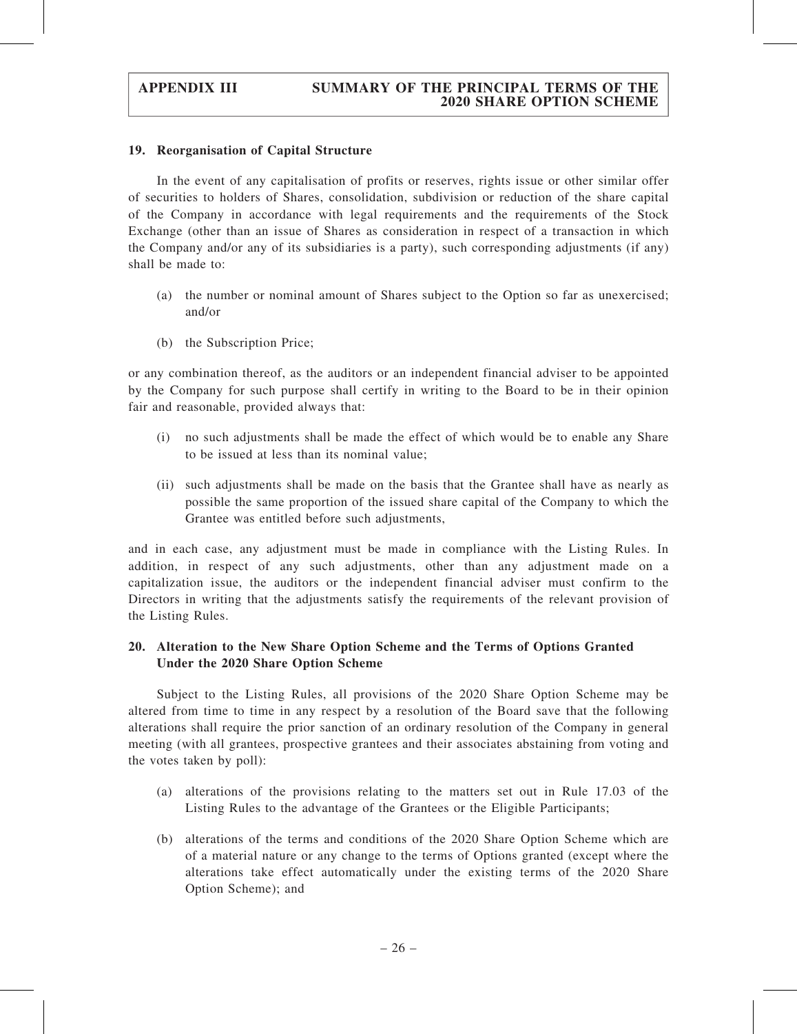#### 19. Reorganisation of Capital Structure

In the event of any capitalisation of profits or reserves, rights issue or other similar offer of securities to holders of Shares, consolidation, subdivision or reduction of the share capital of the Company in accordance with legal requirements and the requirements of the Stock Exchange (other than an issue of Shares as consideration in respect of a transaction in which the Company and/or any of its subsidiaries is a party), such corresponding adjustments (if any) shall be made to:

- (a) the number or nominal amount of Shares subject to the Option so far as unexercised; and/or
- (b) the Subscription Price;

or any combination thereof, as the auditors or an independent financial adviser to be appointed by the Company for such purpose shall certify in writing to the Board to be in their opinion fair and reasonable, provided always that:

- (i) no such adjustments shall be made the effect of which would be to enable any Share to be issued at less than its nominal value;
- (ii) such adjustments shall be made on the basis that the Grantee shall have as nearly as possible the same proportion of the issued share capital of the Company to which the Grantee was entitled before such adjustments,

and in each case, any adjustment must be made in compliance with the Listing Rules. In addition, in respect of any such adjustments, other than any adjustment made on a capitalization issue, the auditors or the independent financial adviser must confirm to the Directors in writing that the adjustments satisfy the requirements of the relevant provision of the Listing Rules.

# 20. Alteration to the New Share Option Scheme and the Terms of Options Granted Under the 2020 Share Option Scheme

Subject to the Listing Rules, all provisions of the 2020 Share Option Scheme may be altered from time to time in any respect by a resolution of the Board save that the following alterations shall require the prior sanction of an ordinary resolution of the Company in general meeting (with all grantees, prospective grantees and their associates abstaining from voting and the votes taken by poll):

- (a) alterations of the provisions relating to the matters set out in Rule 17.03 of the Listing Rules to the advantage of the Grantees or the Eligible Participants;
- (b) alterations of the terms and conditions of the 2020 Share Option Scheme which are of a material nature or any change to the terms of Options granted (except where the alterations take effect automatically under the existing terms of the 2020 Share Option Scheme); and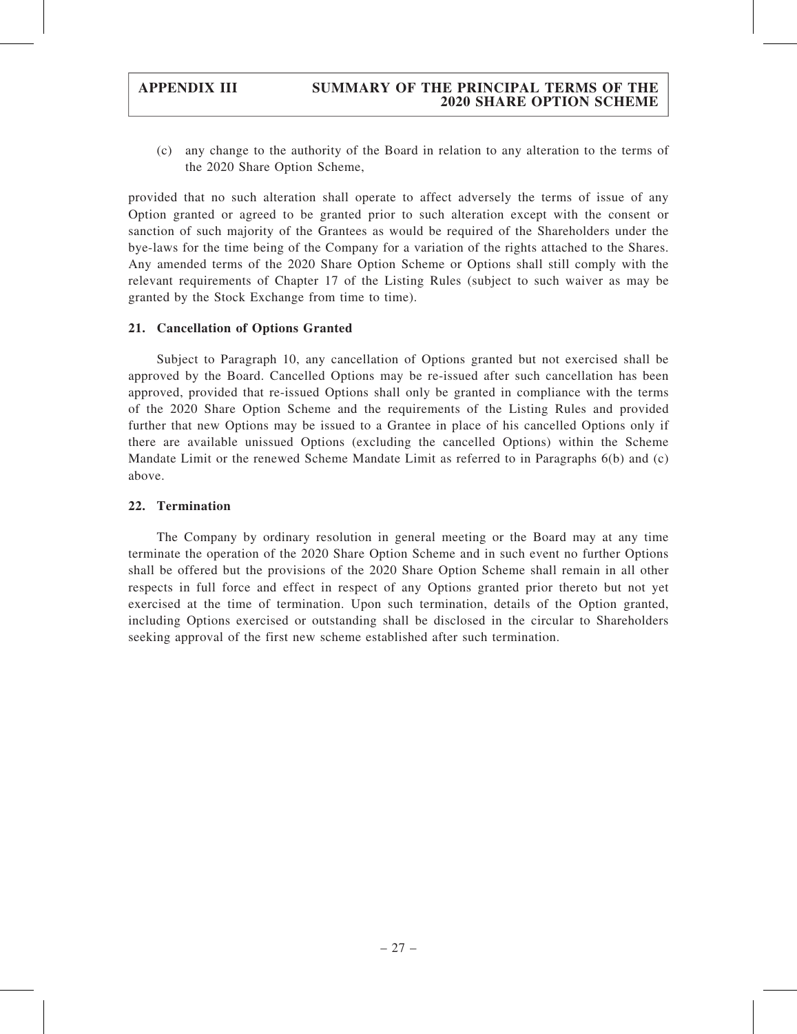(c) any change to the authority of the Board in relation to any alteration to the terms of the 2020 Share Option Scheme,

provided that no such alteration shall operate to affect adversely the terms of issue of any Option granted or agreed to be granted prior to such alteration except with the consent or sanction of such majority of the Grantees as would be required of the Shareholders under the bye-laws for the time being of the Company for a variation of the rights attached to the Shares. Any amended terms of the 2020 Share Option Scheme or Options shall still comply with the relevant requirements of Chapter 17 of the Listing Rules (subject to such waiver as may be granted by the Stock Exchange from time to time).

#### 21. Cancellation of Options Granted

Subject to Paragraph 10, any cancellation of Options granted but not exercised shall be approved by the Board. Cancelled Options may be re-issued after such cancellation has been approved, provided that re-issued Options shall only be granted in compliance with the terms of the 2020 Share Option Scheme and the requirements of the Listing Rules and provided further that new Options may be issued to a Grantee in place of his cancelled Options only if there are available unissued Options (excluding the cancelled Options) within the Scheme Mandate Limit or the renewed Scheme Mandate Limit as referred to in Paragraphs 6(b) and (c) above.

#### 22. Termination

The Company by ordinary resolution in general meeting or the Board may at any time terminate the operation of the 2020 Share Option Scheme and in such event no further Options shall be offered but the provisions of the 2020 Share Option Scheme shall remain in all other respects in full force and effect in respect of any Options granted prior thereto but not yet exercised at the time of termination. Upon such termination, details of the Option granted, including Options exercised or outstanding shall be disclosed in the circular to Shareholders seeking approval of the first new scheme established after such termination.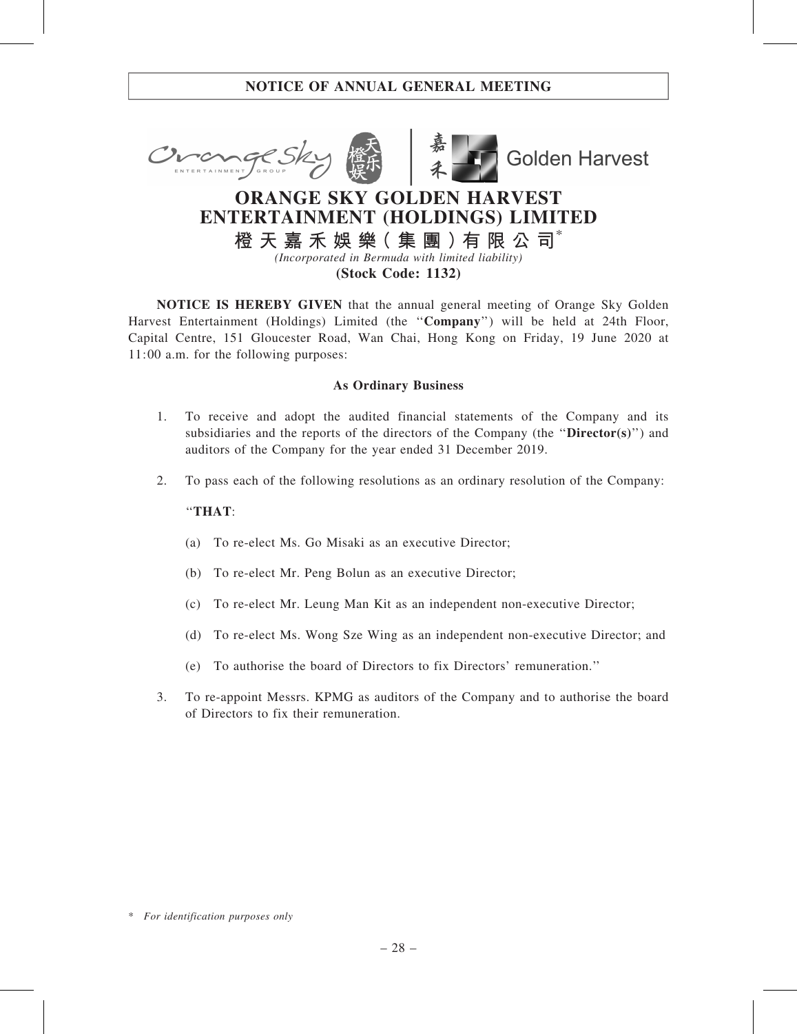

# ENTERTAINMENT (HOLDINGS) LIMITED

橙 天 嘉 禾 娛 樂( 集 團 )有 限 公 司\*

(Incorporated in Bermuda with limited liability)

(Stock Code: 1132)

NOTICE IS HEREBY GIVEN that the annual general meeting of Orange Sky Golden Harvest Entertainment (Holdings) Limited (the ''Company'') will be held at 24th Floor, Capital Centre, 151 Gloucester Road, Wan Chai, Hong Kong on Friday, 19 June 2020 at 11:00 a.m. for the following purposes:

### As Ordinary Business

- 1. To receive and adopt the audited financial statements of the Company and its subsidiaries and the reports of the directors of the Company (the "Director(s)") and auditors of the Company for the year ended 31 December 2019.
- 2. To pass each of the following resolutions as an ordinary resolution of the Company:

### ''THAT:

- (a) To re-elect Ms. Go Misaki as an executive Director;
- (b) To re-elect Mr. Peng Bolun as an executive Director;
- (c) To re-elect Mr. Leung Man Kit as an independent non-executive Director;
- (d) To re-elect Ms. Wong Sze Wing as an independent non-executive Director; and
- (e) To authorise the board of Directors to fix Directors' remuneration.''
- 3. To re-appoint Messrs. KPMG as auditors of the Company and to authorise the board of Directors to fix their remuneration.

<sup>\*</sup> For identification purposes only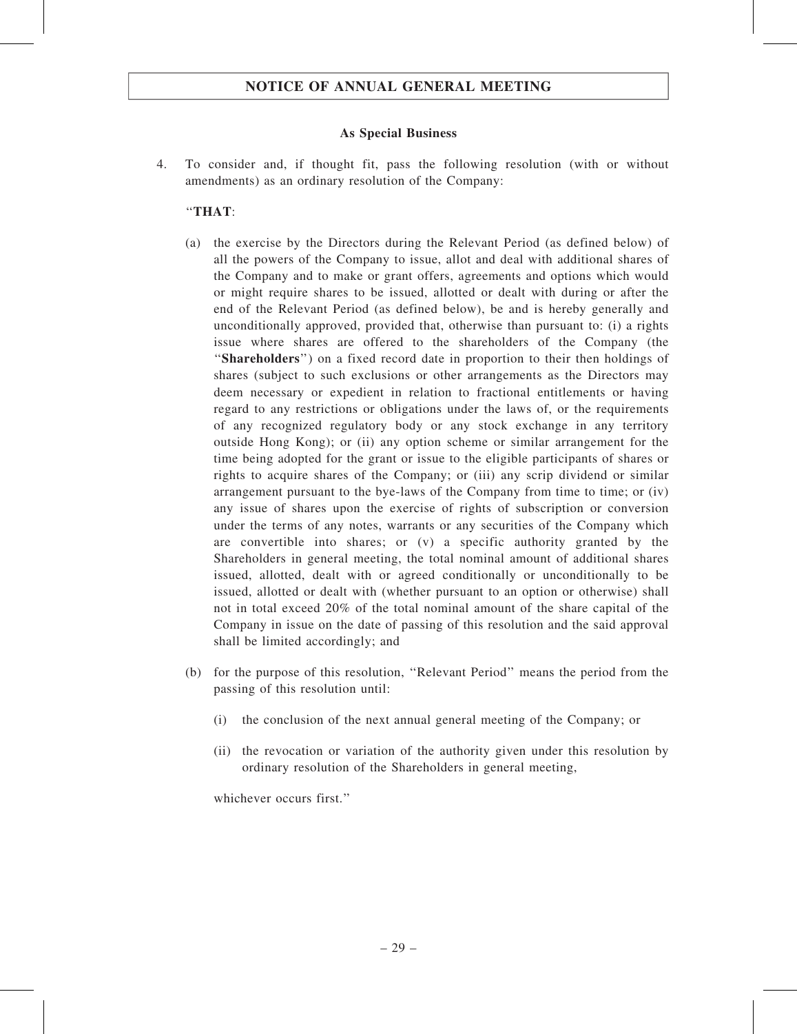#### As Special Business

4. To consider and, if thought fit, pass the following resolution (with or without amendments) as an ordinary resolution of the Company:

#### ''THAT:

- (a) the exercise by the Directors during the Relevant Period (as defined below) of all the powers of the Company to issue, allot and deal with additional shares of the Company and to make or grant offers, agreements and options which would or might require shares to be issued, allotted or dealt with during or after the end of the Relevant Period (as defined below), be and is hereby generally and unconditionally approved, provided that, otherwise than pursuant to: (i) a rights issue where shares are offered to the shareholders of the Company (the ''Shareholders'') on a fixed record date in proportion to their then holdings of shares (subject to such exclusions or other arrangements as the Directors may deem necessary or expedient in relation to fractional entitlements or having regard to any restrictions or obligations under the laws of, or the requirements of any recognized regulatory body or any stock exchange in any territory outside Hong Kong); or (ii) any option scheme or similar arrangement for the time being adopted for the grant or issue to the eligible participants of shares or rights to acquire shares of the Company; or (iii) any scrip dividend or similar arrangement pursuant to the bye-laws of the Company from time to time; or (iv) any issue of shares upon the exercise of rights of subscription or conversion under the terms of any notes, warrants or any securities of the Company which are convertible into shares; or (v) a specific authority granted by the Shareholders in general meeting, the total nominal amount of additional shares issued, allotted, dealt with or agreed conditionally or unconditionally to be issued, allotted or dealt with (whether pursuant to an option or otherwise) shall not in total exceed 20% of the total nominal amount of the share capital of the Company in issue on the date of passing of this resolution and the said approval shall be limited accordingly; and
- (b) for the purpose of this resolution, ''Relevant Period'' means the period from the passing of this resolution until:
	- (i) the conclusion of the next annual general meeting of the Company; or
	- (ii) the revocation or variation of the authority given under this resolution by ordinary resolution of the Shareholders in general meeting,

whichever occurs first."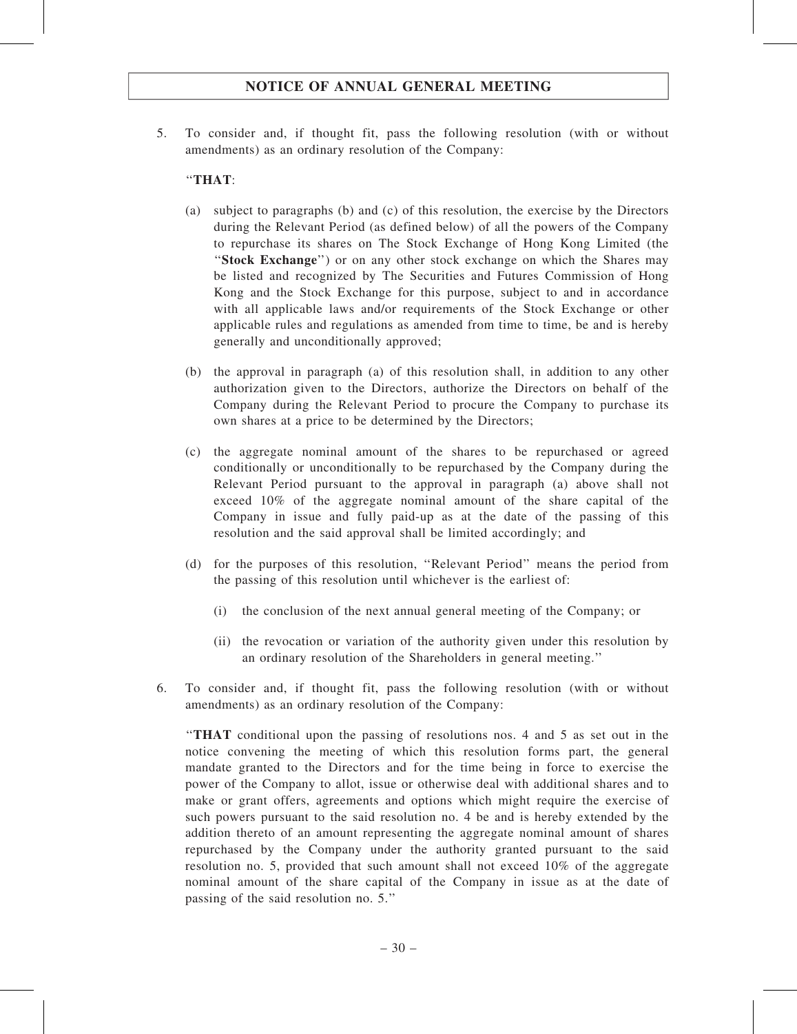5. To consider and, if thought fit, pass the following resolution (with or without amendments) as an ordinary resolution of the Company:

### ''THAT:

- (a) subject to paragraphs (b) and (c) of this resolution, the exercise by the Directors during the Relevant Period (as defined below) of all the powers of the Company to repurchase its shares on The Stock Exchange of Hong Kong Limited (the ''Stock Exchange'') or on any other stock exchange on which the Shares may be listed and recognized by The Securities and Futures Commission of Hong Kong and the Stock Exchange for this purpose, subject to and in accordance with all applicable laws and/or requirements of the Stock Exchange or other applicable rules and regulations as amended from time to time, be and is hereby generally and unconditionally approved;
- (b) the approval in paragraph (a) of this resolution shall, in addition to any other authorization given to the Directors, authorize the Directors on behalf of the Company during the Relevant Period to procure the Company to purchase its own shares at a price to be determined by the Directors;
- (c) the aggregate nominal amount of the shares to be repurchased or agreed conditionally or unconditionally to be repurchased by the Company during the Relevant Period pursuant to the approval in paragraph (a) above shall not exceed 10% of the aggregate nominal amount of the share capital of the Company in issue and fully paid-up as at the date of the passing of this resolution and the said approval shall be limited accordingly; and
- (d) for the purposes of this resolution, ''Relevant Period'' means the period from the passing of this resolution until whichever is the earliest of:
	- (i) the conclusion of the next annual general meeting of the Company; or
	- (ii) the revocation or variation of the authority given under this resolution by an ordinary resolution of the Shareholders in general meeting.''
- 6. To consider and, if thought fit, pass the following resolution (with or without amendments) as an ordinary resolution of the Company:

''THAT conditional upon the passing of resolutions nos. 4 and 5 as set out in the notice convening the meeting of which this resolution forms part, the general mandate granted to the Directors and for the time being in force to exercise the power of the Company to allot, issue or otherwise deal with additional shares and to make or grant offers, agreements and options which might require the exercise of such powers pursuant to the said resolution no. 4 be and is hereby extended by the addition thereto of an amount representing the aggregate nominal amount of shares repurchased by the Company under the authority granted pursuant to the said resolution no. 5, provided that such amount shall not exceed 10% of the aggregate nominal amount of the share capital of the Company in issue as at the date of passing of the said resolution no. 5.''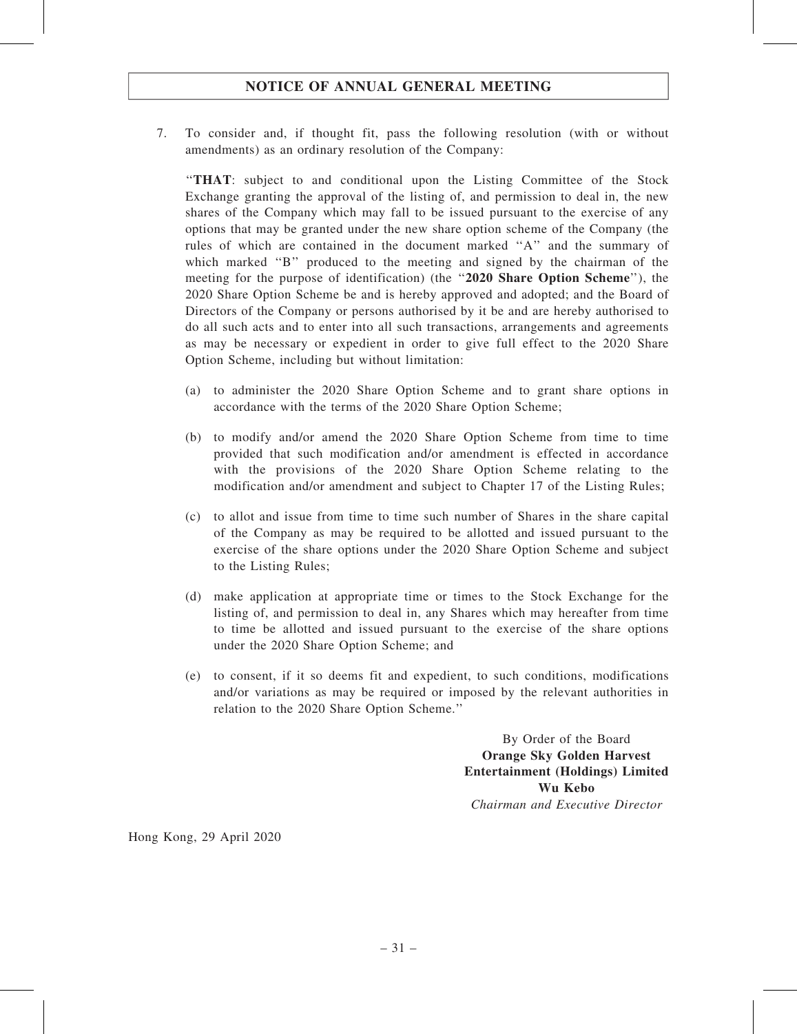7. To consider and, if thought fit, pass the following resolution (with or without amendments) as an ordinary resolution of the Company:

''THAT: subject to and conditional upon the Listing Committee of the Stock Exchange granting the approval of the listing of, and permission to deal in, the new shares of the Company which may fall to be issued pursuant to the exercise of any options that may be granted under the new share option scheme of the Company (the rules of which are contained in the document marked ''A'' and the summary of which marked "B" produced to the meeting and signed by the chairman of the meeting for the purpose of identification) (the "2020 Share Option Scheme"), the 2020 Share Option Scheme be and is hereby approved and adopted; and the Board of Directors of the Company or persons authorised by it be and are hereby authorised to do all such acts and to enter into all such transactions, arrangements and agreements as may be necessary or expedient in order to give full effect to the 2020 Share Option Scheme, including but without limitation:

- (a) to administer the 2020 Share Option Scheme and to grant share options in accordance with the terms of the 2020 Share Option Scheme;
- (b) to modify and/or amend the 2020 Share Option Scheme from time to time provided that such modification and/or amendment is effected in accordance with the provisions of the 2020 Share Option Scheme relating to the modification and/or amendment and subject to Chapter 17 of the Listing Rules;
- (c) to allot and issue from time to time such number of Shares in the share capital of the Company as may be required to be allotted and issued pursuant to the exercise of the share options under the 2020 Share Option Scheme and subject to the Listing Rules;
- (d) make application at appropriate time or times to the Stock Exchange for the listing of, and permission to deal in, any Shares which may hereafter from time to time be allotted and issued pursuant to the exercise of the share options under the 2020 Share Option Scheme; and
- (e) to consent, if it so deems fit and expedient, to such conditions, modifications and/or variations as may be required or imposed by the relevant authorities in relation to the 2020 Share Option Scheme.''

By Order of the Board Orange Sky Golden Harvest Entertainment (Holdings) Limited Wu Kebo Chairman and Executive Director

Hong Kong, 29 April 2020